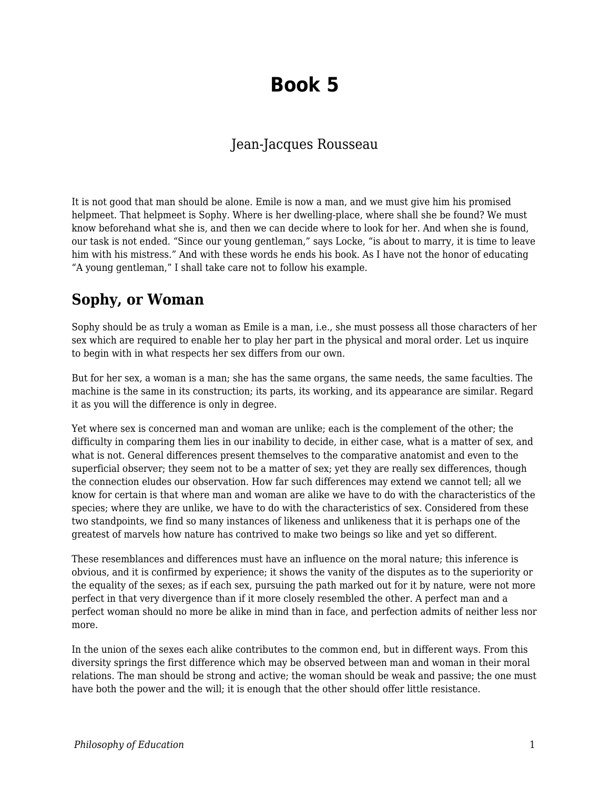## **Book 5**

## Jean-Jacques Rousseau

It is not good that man should be alone. Emile is now a man, and we must give him his promised helpmeet. That helpmeet is Sophy. Where is her dwelling-place, where shall she be found? We must know beforehand what she is, and then we can decide where to look for her. And when she is found, our task is not ended. "Since our young gentleman," says Locke, "is about to marry, it is time to leave him with his mistress." And with these words he ends his book. As I have not the honor of educating "A young gentleman," I shall take care not to follow his example.

## **Sophy, or Woman**

Sophy should be as truly a woman as Emile is a man, i.e., she must possess all those characters of her sex which are required to enable her to play her part in the physical and moral order. Let us inquire to begin with in what respects her sex differs from our own.

But for her sex, a woman is a man; she has the same organs, the same needs, the same faculties. The machine is the same in its construction; its parts, its working, and its appearance are similar. Regard it as you will the difference is only in degree.

Yet where sex is concerned man and woman are unlike; each is the complement of the other; the difficulty in comparing them lies in our inability to decide, in either case, what is a matter of sex, and what is not. General differences present themselves to the comparative anatomist and even to the superficial observer; they seem not to be a matter of sex; yet they are really sex differences, though the connection eludes our observation. How far such differences may extend we cannot tell; all we know for certain is that where man and woman are alike we have to do with the characteristics of the species; where they are unlike, we have to do with the characteristics of sex. Considered from these two standpoints, we find so many instances of likeness and unlikeness that it is perhaps one of the greatest of marvels how nature has contrived to make two beings so like and yet so different.

These resemblances and differences must have an influence on the moral nature; this inference is obvious, and it is confirmed by experience; it shows the vanity of the disputes as to the superiority or the equality of the sexes; as if each sex, pursuing the path marked out for it by nature, were not more perfect in that very divergence than if it more closely resembled the other. A perfect man and a perfect woman should no more be alike in mind than in face, and perfection admits of neither less nor more.

In the union of the sexes each alike contributes to the common end, but in different ways. From this diversity springs the first difference which may be observed between man and woman in their moral relations. The man should be strong and active; the woman should be weak and passive; the one must have both the power and the will; it is enough that the other should offer little resistance.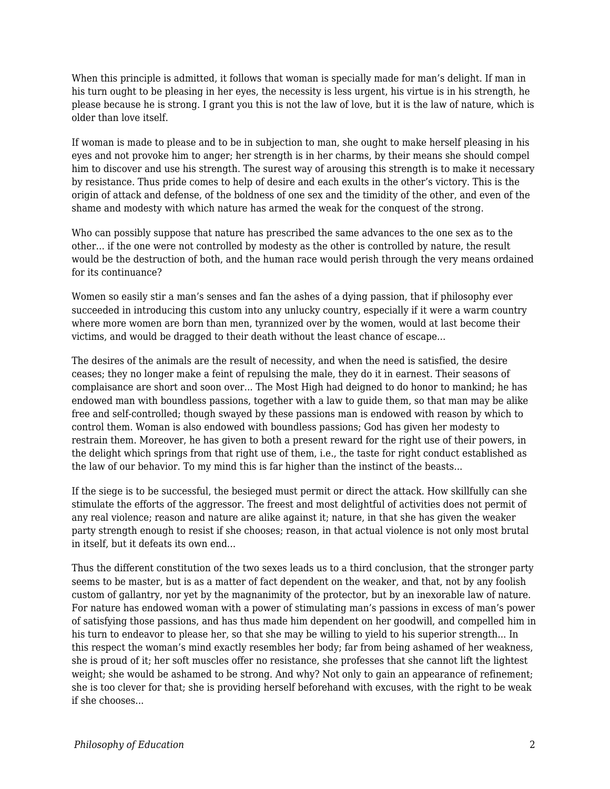When this principle is admitted, it follows that woman is specially made for man's delight. If man in his turn ought to be pleasing in her eyes, the necessity is less urgent, his virtue is in his strength, he please because he is strong. I grant you this is not the law of love, but it is the law of nature, which is older than love itself.

If woman is made to please and to be in subjection to man, she ought to make herself pleasing in his eyes and not provoke him to anger; her strength is in her charms, by their means she should compel him to discover and use his strength. The surest way of arousing this strength is to make it necessary by resistance. Thus pride comes to help of desire and each exults in the other's victory. This is the origin of attack and defense, of the boldness of one sex and the timidity of the other, and even of the shame and modesty with which nature has armed the weak for the conquest of the strong.

Who can possibly suppose that nature has prescribed the same advances to the one sex as to the other... if the one were not controlled by modesty as the other is controlled by nature, the result would be the destruction of both, and the human race would perish through the very means ordained for its continuance?

Women so easily stir a man's senses and fan the ashes of a dying passion, that if philosophy ever succeeded in introducing this custom into any unlucky country, especially if it were a warm country where more women are born than men, tyrannized over by the women, would at last become their victims, and would be dragged to their death without the least chance of escape...

The desires of the animals are the result of necessity, and when the need is satisfied, the desire ceases; they no longer make a feint of repulsing the male, they do it in earnest. Their seasons of complaisance are short and soon over... The Most High had deigned to do honor to mankind; he has endowed man with boundless passions, together with a law to guide them, so that man may be alike free and self-controlled; though swayed by these passions man is endowed with reason by which to control them. Woman is also endowed with boundless passions; God has given her modesty to restrain them. Moreover, he has given to both a present reward for the right use of their powers, in the delight which springs from that right use of them, i.e., the taste for right conduct established as the law of our behavior. To my mind this is far higher than the instinct of the beasts...

If the siege is to be successful, the besieged must permit or direct the attack. How skillfully can she stimulate the efforts of the aggressor. The freest and most delightful of activities does not permit of any real violence; reason and nature are alike against it; nature, in that she has given the weaker party strength enough to resist if she chooses; reason, in that actual violence is not only most brutal in itself, but it defeats its own end...

Thus the different constitution of the two sexes leads us to a third conclusion, that the stronger party seems to be master, but is as a matter of fact dependent on the weaker, and that, not by any foolish custom of gallantry, nor yet by the magnanimity of the protector, but by an inexorable law of nature. For nature has endowed woman with a power of stimulating man's passions in excess of man's power of satisfying those passions, and has thus made him dependent on her goodwill, and compelled him in his turn to endeavor to please her, so that she may be willing to yield to his superior strength... In this respect the woman's mind exactly resembles her body; far from being ashamed of her weakness, she is proud of it; her soft muscles offer no resistance, she professes that she cannot lift the lightest weight; she would be ashamed to be strong. And why? Not only to gain an appearance of refinement; she is too clever for that; she is providing herself beforehand with excuses, with the right to be weak if she chooses...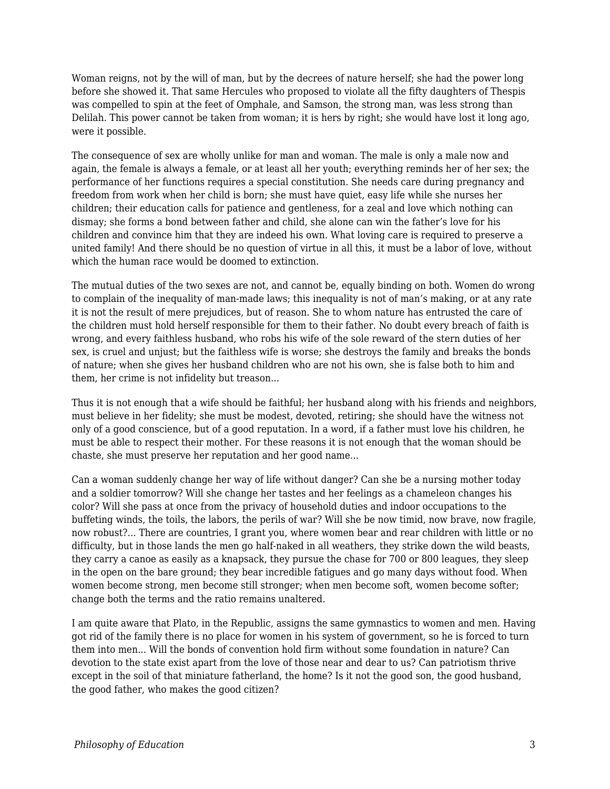Woman reigns, not by the will of man, but by the decrees of nature herself; she had the power long before she showed it. That same Hercules who proposed to violate all the fifty daughters of Thespis was compelled to spin at the feet of Omphale, and Samson, the strong man, was less strong than Delilah. This power cannot be taken from woman; it is hers by right; she would have lost it long ago, were it possible.

The consequence of sex are wholly unlike for man and woman. The male is only a male now and again, the female is always a female, or at least all her youth; everything reminds her of her sex; the performance of her functions requires a special constitution. She needs care during pregnancy and freedom from work when her child is born; she must have quiet, easy life while she nurses her children; their education calls for patience and gentleness, for a zeal and love which nothing can dismay; she forms a bond between father and child, she alone can win the father's love for his children and convince him that they are indeed his own. What loving care is required to preserve a united family! And there should be no question of virtue in all this, it must be a labor of love, without which the human race would be doomed to extinction.

The mutual duties of the two sexes are not, and cannot be, equally binding on both. Women do wrong to complain of the inequality of man-made laws; this inequality is not of man's making, or at any rate it is not the result of mere prejudices, but of reason. She to whom nature has entrusted the care of the children must hold herself responsible for them to their father. No doubt every breach of faith is wrong, and every faithless husband, who robs his wife of the sole reward of the stern duties of her sex, is cruel and unjust; but the faithless wife is worse; she destroys the family and breaks the bonds of nature; when she gives her husband children who are not his own, she is false both to him and them, her crime is not infidelity but treason...

Thus it is not enough that a wife should be faithful; her husband along with his friends and neighbors, must believe in her fidelity; she must be modest, devoted, retiring; she should have the witness not only of a good conscience, but of a good reputation. In a word, if a father must love his children, he must be able to respect their mother. For these reasons it is not enough that the woman should be chaste, she must preserve her reputation and her good name...

Can a woman suddenly change her way of life without danger? Can she be a nursing mother today and a soldier tomorrow? Will she change her tastes and her feelings as a chameleon changes his color? Will she pass at once from the privacy of household duties and indoor occupations to the buffeting winds, the toils, the labors, the perils of war? Will she be now timid, now brave, now fragile, now robust?... There are countries, I grant you, where women bear and rear children with little or no difficulty, but in those lands the men go half-naked in all weathers, they strike down the wild beasts, they carry a canoe as easily as a knapsack, they pursue the chase for 700 or 800 leagues, they sleep in the open on the bare ground; they bear incredible fatigues and go many days without food. When women become strong, men become still stronger; when men become soft, women become softer; change both the terms and the ratio remains unaltered.

I am quite aware that Plato, in the Republic, assigns the same gymnastics to women and men. Having got rid of the family there is no place for women in his system of government, so he is forced to turn them into men... Will the bonds of convention hold firm without some foundation in nature? Can devotion to the state exist apart from the love of those near and dear to us? Can patriotism thrive except in the soil of that miniature fatherland, the home? Is it not the good son, the good husband, the good father, who makes the good citizen?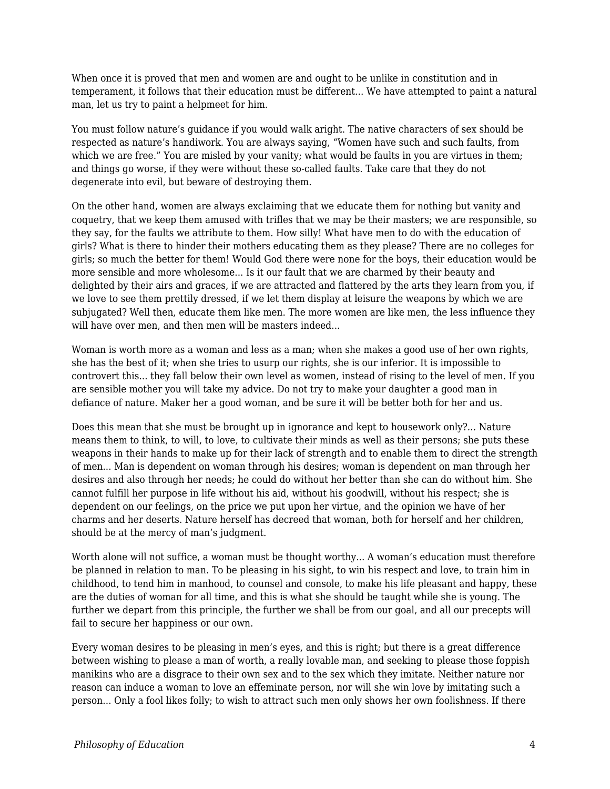When once it is proved that men and women are and ought to be unlike in constitution and in temperament, it follows that their education must be different... We have attempted to paint a natural man, let us try to paint a helpmeet for him.

You must follow nature's guidance if you would walk aright. The native characters of sex should be respected as nature's handiwork. You are always saying, "Women have such and such faults, from which we are free." You are misled by your vanity; what would be faults in you are virtues in them; and things go worse, if they were without these so-called faults. Take care that they do not degenerate into evil, but beware of destroying them.

On the other hand, women are always exclaiming that we educate them for nothing but vanity and coquetry, that we keep them amused with trifles that we may be their masters; we are responsible, so they say, for the faults we attribute to them. How silly! What have men to do with the education of girls? What is there to hinder their mothers educating them as they please? There are no colleges for girls; so much the better for them! Would God there were none for the boys, their education would be more sensible and more wholesome... Is it our fault that we are charmed by their beauty and delighted by their airs and graces, if we are attracted and flattered by the arts they learn from you, if we love to see them prettily dressed, if we let them display at leisure the weapons by which we are subjugated? Well then, educate them like men. The more women are like men, the less influence they will have over men, and then men will be masters indeed...

Woman is worth more as a woman and less as a man; when she makes a good use of her own rights, she has the best of it; when she tries to usurp our rights, she is our inferior. It is impossible to controvert this... they fall below their own level as women, instead of rising to the level of men. If you are sensible mother you will take my advice. Do not try to make your daughter a good man in defiance of nature. Maker her a good woman, and be sure it will be better both for her and us.

Does this mean that she must be brought up in ignorance and kept to housework only?... Nature means them to think, to will, to love, to cultivate their minds as well as their persons; she puts these weapons in their hands to make up for their lack of strength and to enable them to direct the strength of men... Man is dependent on woman through his desires; woman is dependent on man through her desires and also through her needs; he could do without her better than she can do without him. She cannot fulfill her purpose in life without his aid, without his goodwill, without his respect; she is dependent on our feelings, on the price we put upon her virtue, and the opinion we have of her charms and her deserts. Nature herself has decreed that woman, both for herself and her children, should be at the mercy of man's judgment.

Worth alone will not suffice, a woman must be thought worthy... A woman's education must therefore be planned in relation to man. To be pleasing in his sight, to win his respect and love, to train him in childhood, to tend him in manhood, to counsel and console, to make his life pleasant and happy, these are the duties of woman for all time, and this is what she should be taught while she is young. The further we depart from this principle, the further we shall be from our goal, and all our precepts will fail to secure her happiness or our own.

Every woman desires to be pleasing in men's eyes, and this is right; but there is a great difference between wishing to please a man of worth, a really lovable man, and seeking to please those foppish manikins who are a disgrace to their own sex and to the sex which they imitate. Neither nature nor reason can induce a woman to love an effeminate person, nor will she win love by imitating such a person... Only a fool likes folly; to wish to attract such men only shows her own foolishness. If there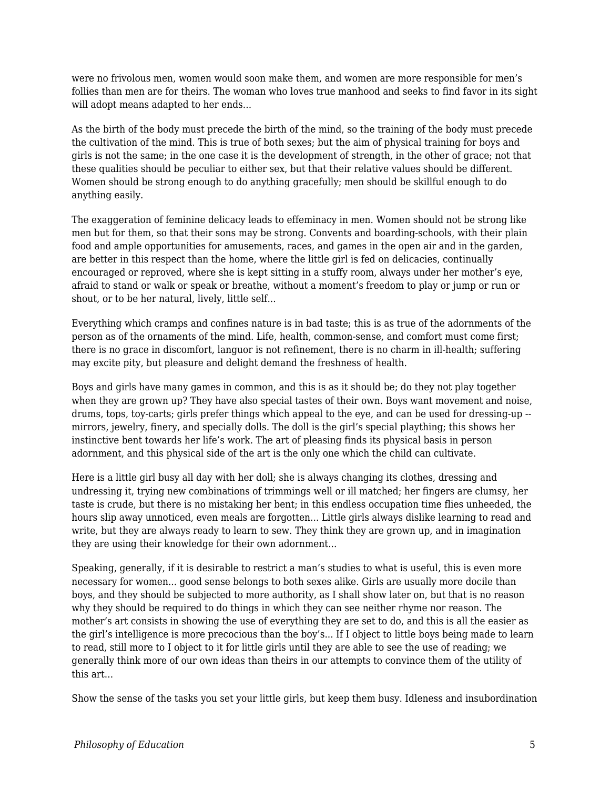were no frivolous men, women would soon make them, and women are more responsible for men's follies than men are for theirs. The woman who loves true manhood and seeks to find favor in its sight will adopt means adapted to her ends...

As the birth of the body must precede the birth of the mind, so the training of the body must precede the cultivation of the mind. This is true of both sexes; but the aim of physical training for boys and girls is not the same; in the one case it is the development of strength, in the other of grace; not that these qualities should be peculiar to either sex, but that their relative values should be different. Women should be strong enough to do anything gracefully; men should be skillful enough to do anything easily.

The exaggeration of feminine delicacy leads to effeminacy in men. Women should not be strong like men but for them, so that their sons may be strong. Convents and boarding-schools, with their plain food and ample opportunities for amusements, races, and games in the open air and in the garden, are better in this respect than the home, where the little girl is fed on delicacies, continually encouraged or reproved, where she is kept sitting in a stuffy room, always under her mother's eye, afraid to stand or walk or speak or breathe, without a moment's freedom to play or jump or run or shout, or to be her natural, lively, little self...

Everything which cramps and confines nature is in bad taste; this is as true of the adornments of the person as of the ornaments of the mind. Life, health, common-sense, and comfort must come first; there is no grace in discomfort, languor is not refinement, there is no charm in ill-health; suffering may excite pity, but pleasure and delight demand the freshness of health.

Boys and girls have many games in common, and this is as it should be; do they not play together when they are grown up? They have also special tastes of their own. Boys want movement and noise, drums, tops, toy-carts; girls prefer things which appeal to the eye, and can be used for dressing-up - mirrors, jewelry, finery, and specially dolls. The doll is the girl's special plaything; this shows her instinctive bent towards her life's work. The art of pleasing finds its physical basis in person adornment, and this physical side of the art is the only one which the child can cultivate.

Here is a little girl busy all day with her doll; she is always changing its clothes, dressing and undressing it, trying new combinations of trimmings well or ill matched; her fingers are clumsy, her taste is crude, but there is no mistaking her bent; in this endless occupation time flies unheeded, the hours slip away unnoticed, even meals are forgotten... Little girls always dislike learning to read and write, but they are always ready to learn to sew. They think they are grown up, and in imagination they are using their knowledge for their own adornment...

Speaking, generally, if it is desirable to restrict a man's studies to what is useful, this is even more necessary for women... good sense belongs to both sexes alike. Girls are usually more docile than boys, and they should be subjected to more authority, as I shall show later on, but that is no reason why they should be required to do things in which they can see neither rhyme nor reason. The mother's art consists in showing the use of everything they are set to do, and this is all the easier as the girl's intelligence is more precocious than the boy's... If I object to little boys being made to learn to read, still more to I object to it for little girls until they are able to see the use of reading; we generally think more of our own ideas than theirs in our attempts to convince them of the utility of this art...

Show the sense of the tasks you set your little girls, but keep them busy. Idleness and insubordination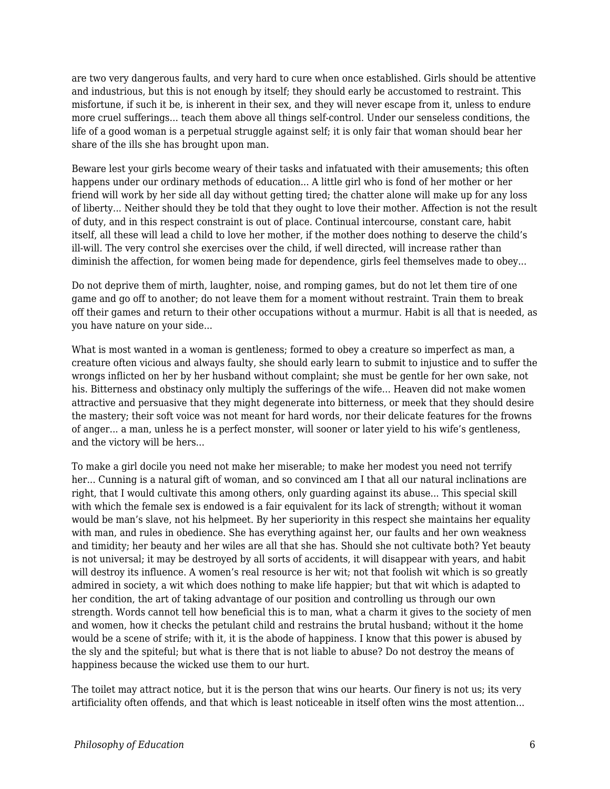are two very dangerous faults, and very hard to cure when once established. Girls should be attentive and industrious, but this is not enough by itself; they should early be accustomed to restraint. This misfortune, if such it be, is inherent in their sex, and they will never escape from it, unless to endure more cruel sufferings... teach them above all things self-control. Under our senseless conditions, the life of a good woman is a perpetual struggle against self; it is only fair that woman should bear her share of the ills she has brought upon man.

Beware lest your girls become weary of their tasks and infatuated with their amusements; this often happens under our ordinary methods of education... A little girl who is fond of her mother or her friend will work by her side all day without getting tired; the chatter alone will make up for any loss of liberty... Neither should they be told that they ought to love their mother. Affection is not the result of duty, and in this respect constraint is out of place. Continual intercourse, constant care, habit itself, all these will lead a child to love her mother, if the mother does nothing to deserve the child's ill-will. The very control she exercises over the child, if well directed, will increase rather than diminish the affection, for women being made for dependence, girls feel themselves made to obey...

Do not deprive them of mirth, laughter, noise, and romping games, but do not let them tire of one game and go off to another; do not leave them for a moment without restraint. Train them to break off their games and return to their other occupations without a murmur. Habit is all that is needed, as you have nature on your side...

What is most wanted in a woman is gentleness; formed to obey a creature so imperfect as man, a creature often vicious and always faulty, she should early learn to submit to injustice and to suffer the wrongs inflicted on her by her husband without complaint; she must be gentle for her own sake, not his. Bitterness and obstinacy only multiply the sufferings of the wife... Heaven did not make women attractive and persuasive that they might degenerate into bitterness, or meek that they should desire the mastery; their soft voice was not meant for hard words, nor their delicate features for the frowns of anger... a man, unless he is a perfect monster, will sooner or later yield to his wife's gentleness, and the victory will be hers...

To make a girl docile you need not make her miserable; to make her modest you need not terrify her... Cunning is a natural gift of woman, and so convinced am I that all our natural inclinations are right, that I would cultivate this among others, only guarding against its abuse... This special skill with which the female sex is endowed is a fair equivalent for its lack of strength; without it woman would be man's slave, not his helpmeet. By her superiority in this respect she maintains her equality with man, and rules in obedience. She has everything against her, our faults and her own weakness and timidity; her beauty and her wiles are all that she has. Should she not cultivate both? Yet beauty is not universal; it may be destroyed by all sorts of accidents, it will disappear with years, and habit will destroy its influence. A women's real resource is her wit; not that foolish wit which is so greatly admired in society, a wit which does nothing to make life happier; but that wit which is adapted to her condition, the art of taking advantage of our position and controlling us through our own strength. Words cannot tell how beneficial this is to man, what a charm it gives to the society of men and women, how it checks the petulant child and restrains the brutal husband; without it the home would be a scene of strife; with it, it is the abode of happiness. I know that this power is abused by the sly and the spiteful; but what is there that is not liable to abuse? Do not destroy the means of happiness because the wicked use them to our hurt.

The toilet may attract notice, but it is the person that wins our hearts. Our finery is not us; its very artificiality often offends, and that which is least noticeable in itself often wins the most attention...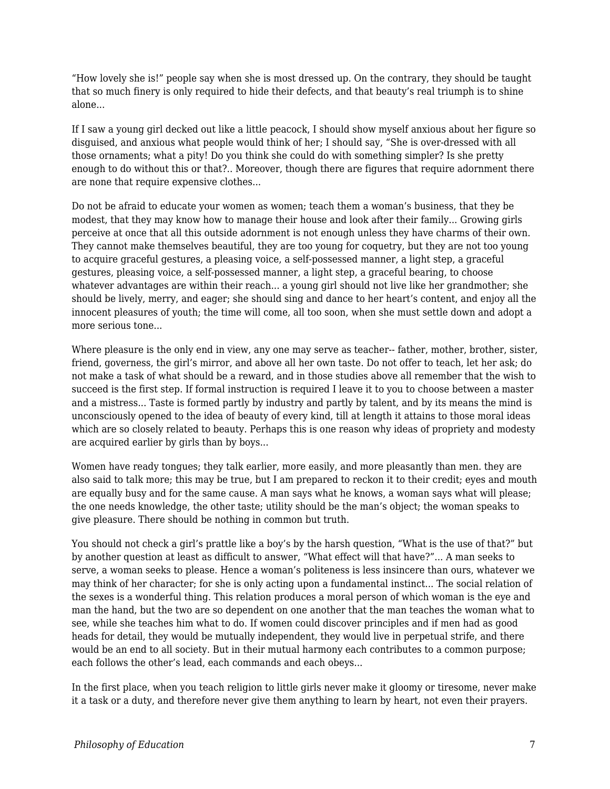"How lovely she is!" people say when she is most dressed up. On the contrary, they should be taught that so much finery is only required to hide their defects, and that beauty's real triumph is to shine alone...

If I saw a young girl decked out like a little peacock, I should show myself anxious about her figure so disguised, and anxious what people would think of her; I should say, "She is over-dressed with all those ornaments; what a pity! Do you think she could do with something simpler? Is she pretty enough to do without this or that?.. Moreover, though there are figures that require adornment there are none that require expensive clothes...

Do not be afraid to educate your women as women; teach them a woman's business, that they be modest, that they may know how to manage their house and look after their family... Growing girls perceive at once that all this outside adornment is not enough unless they have charms of their own. They cannot make themselves beautiful, they are too young for coquetry, but they are not too young to acquire graceful gestures, a pleasing voice, a self-possessed manner, a light step, a graceful gestures, pleasing voice, a self-possessed manner, a light step, a graceful bearing, to choose whatever advantages are within their reach... a young girl should not live like her grandmother; she should be lively, merry, and eager; she should sing and dance to her heart's content, and enjoy all the innocent pleasures of youth; the time will come, all too soon, when she must settle down and adopt a more serious tone...

Where pleasure is the only end in view, any one may serve as teacher-- father, mother, brother, sister, friend, governess, the girl's mirror, and above all her own taste. Do not offer to teach, let her ask; do not make a task of what should be a reward, and in those studies above all remember that the wish to succeed is the first step. If formal instruction is required I leave it to you to choose between a master and a mistress... Taste is formed partly by industry and partly by talent, and by its means the mind is unconsciously opened to the idea of beauty of every kind, till at length it attains to those moral ideas which are so closely related to beauty. Perhaps this is one reason why ideas of propriety and modesty are acquired earlier by girls than by boys...

Women have ready tongues; they talk earlier, more easily, and more pleasantly than men. they are also said to talk more; this may be true, but I am prepared to reckon it to their credit; eyes and mouth are equally busy and for the same cause. A man says what he knows, a woman says what will please; the one needs knowledge, the other taste; utility should be the man's object; the woman speaks to give pleasure. There should be nothing in common but truth.

You should not check a girl's prattle like a boy's by the harsh question, "What is the use of that?" but by another question at least as difficult to answer, "What effect will that have?"... A man seeks to serve, a woman seeks to please. Hence a woman's politeness is less insincere than ours, whatever we may think of her character; for she is only acting upon a fundamental instinct... The social relation of the sexes is a wonderful thing. This relation produces a moral person of which woman is the eye and man the hand, but the two are so dependent on one another that the man teaches the woman what to see, while she teaches him what to do. If women could discover principles and if men had as good heads for detail, they would be mutually independent, they would live in perpetual strife, and there would be an end to all society. But in their mutual harmony each contributes to a common purpose; each follows the other's lead, each commands and each obeys...

In the first place, when you teach religion to little girls never make it gloomy or tiresome, never make it a task or a duty, and therefore never give them anything to learn by heart, not even their prayers.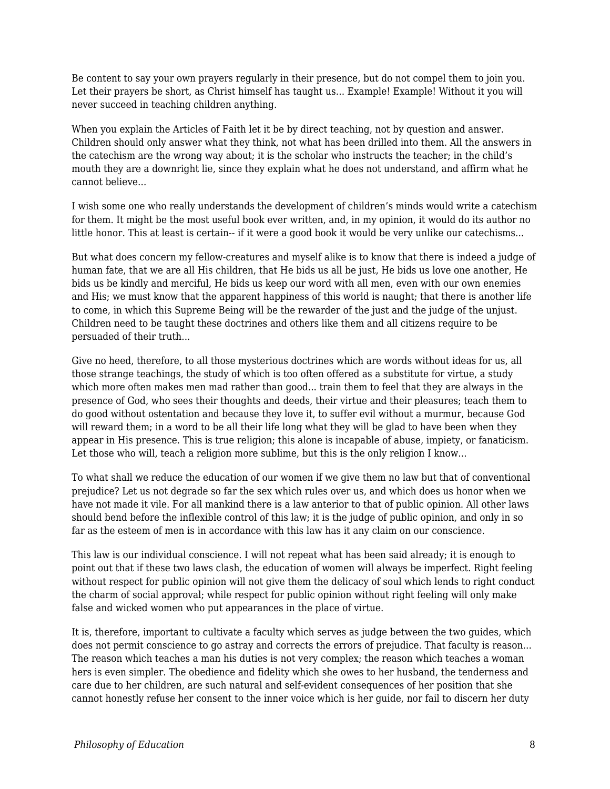Be content to say your own prayers regularly in their presence, but do not compel them to join you. Let their prayers be short, as Christ himself has taught us... Example! Example! Without it you will never succeed in teaching children anything.

When you explain the Articles of Faith let it be by direct teaching, not by question and answer. Children should only answer what they think, not what has been drilled into them. All the answers in the catechism are the wrong way about; it is the scholar who instructs the teacher; in the child's mouth they are a downright lie, since they explain what he does not understand, and affirm what he cannot believe...

I wish some one who really understands the development of children's minds would write a catechism for them. It might be the most useful book ever written, and, in my opinion, it would do its author no little honor. This at least is certain-- if it were a good book it would be very unlike our catechisms...

But what does concern my fellow-creatures and myself alike is to know that there is indeed a judge of human fate, that we are all His children, that He bids us all be just, He bids us love one another, He bids us be kindly and merciful, He bids us keep our word with all men, even with our own enemies and His; we must know that the apparent happiness of this world is naught; that there is another life to come, in which this Supreme Being will be the rewarder of the just and the judge of the unjust. Children need to be taught these doctrines and others like them and all citizens require to be persuaded of their truth...

Give no heed, therefore, to all those mysterious doctrines which are words without ideas for us, all those strange teachings, the study of which is too often offered as a substitute for virtue, a study which more often makes men mad rather than good... train them to feel that they are always in the presence of God, who sees their thoughts and deeds, their virtue and their pleasures; teach them to do good without ostentation and because they love it, to suffer evil without a murmur, because God will reward them; in a word to be all their life long what they will be glad to have been when they appear in His presence. This is true religion; this alone is incapable of abuse, impiety, or fanaticism. Let those who will, teach a religion more sublime, but this is the only religion I know...

To what shall we reduce the education of our women if we give them no law but that of conventional prejudice? Let us not degrade so far the sex which rules over us, and which does us honor when we have not made it vile. For all mankind there is a law anterior to that of public opinion. All other laws should bend before the inflexible control of this law; it is the judge of public opinion, and only in so far as the esteem of men is in accordance with this law has it any claim on our conscience.

This law is our individual conscience. I will not repeat what has been said already; it is enough to point out that if these two laws clash, the education of women will always be imperfect. Right feeling without respect for public opinion will not give them the delicacy of soul which lends to right conduct the charm of social approval; while respect for public opinion without right feeling will only make false and wicked women who put appearances in the place of virtue.

It is, therefore, important to cultivate a faculty which serves as judge between the two guides, which does not permit conscience to go astray and corrects the errors of prejudice. That faculty is reason... The reason which teaches a man his duties is not very complex; the reason which teaches a woman hers is even simpler. The obedience and fidelity which she owes to her husband, the tenderness and care due to her children, are such natural and self-evident consequences of her position that she cannot honestly refuse her consent to the inner voice which is her guide, nor fail to discern her duty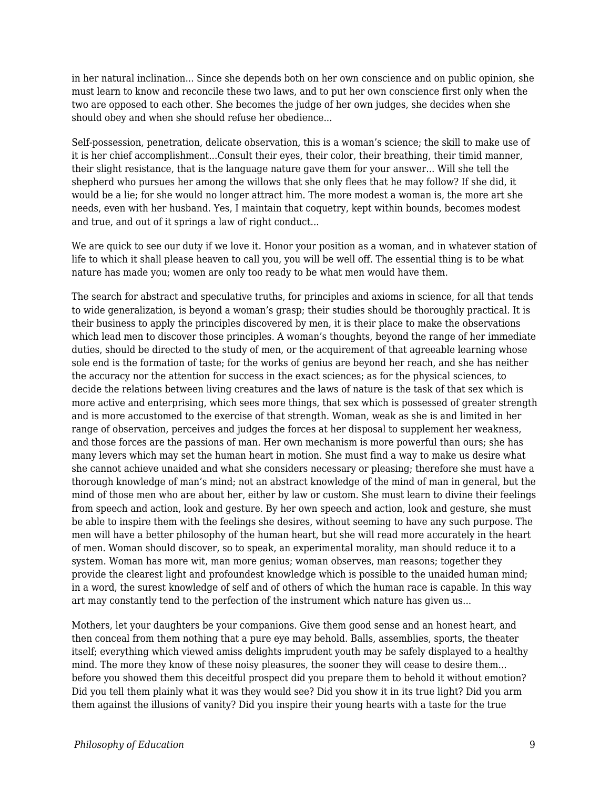in her natural inclination... Since she depends both on her own conscience and on public opinion, she must learn to know and reconcile these two laws, and to put her own conscience first only when the two are opposed to each other. She becomes the judge of her own judges, she decides when she should obey and when she should refuse her obedience...

Self-possession, penetration, delicate observation, this is a woman's science; the skill to make use of it is her chief accomplishment...Consult their eyes, their color, their breathing, their timid manner, their slight resistance, that is the language nature gave them for your answer... Will she tell the shepherd who pursues her among the willows that she only flees that he may follow? If she did, it would be a lie; for she would no longer attract him. The more modest a woman is, the more art she needs, even with her husband. Yes, I maintain that coquetry, kept within bounds, becomes modest and true, and out of it springs a law of right conduct...

We are quick to see our duty if we love it. Honor your position as a woman, and in whatever station of life to which it shall please heaven to call you, you will be well off. The essential thing is to be what nature has made you; women are only too ready to be what men would have them.

The search for abstract and speculative truths, for principles and axioms in science, for all that tends to wide generalization, is beyond a woman's grasp; their studies should be thoroughly practical. It is their business to apply the principles discovered by men, it is their place to make the observations which lead men to discover those principles. A woman's thoughts, beyond the range of her immediate duties, should be directed to the study of men, or the acquirement of that agreeable learning whose sole end is the formation of taste; for the works of genius are beyond her reach, and she has neither the accuracy nor the attention for success in the exact sciences; as for the physical sciences, to decide the relations between living creatures and the laws of nature is the task of that sex which is more active and enterprising, which sees more things, that sex which is possessed of greater strength and is more accustomed to the exercise of that strength. Woman, weak as she is and limited in her range of observation, perceives and judges the forces at her disposal to supplement her weakness, and those forces are the passions of man. Her own mechanism is more powerful than ours; she has many levers which may set the human heart in motion. She must find a way to make us desire what she cannot achieve unaided and what she considers necessary or pleasing; therefore she must have a thorough knowledge of man's mind; not an abstract knowledge of the mind of man in general, but the mind of those men who are about her, either by law or custom. She must learn to divine their feelings from speech and action, look and gesture. By her own speech and action, look and gesture, she must be able to inspire them with the feelings she desires, without seeming to have any such purpose. The men will have a better philosophy of the human heart, but she will read more accurately in the heart of men. Woman should discover, so to speak, an experimental morality, man should reduce it to a system. Woman has more wit, man more genius; woman observes, man reasons; together they provide the clearest light and profoundest knowledge which is possible to the unaided human mind; in a word, the surest knowledge of self and of others of which the human race is capable. In this way art may constantly tend to the perfection of the instrument which nature has given us...

Mothers, let your daughters be your companions. Give them good sense and an honest heart, and then conceal from them nothing that a pure eye may behold. Balls, assemblies, sports, the theater itself; everything which viewed amiss delights imprudent youth may be safely displayed to a healthy mind. The more they know of these noisy pleasures, the sooner they will cease to desire them... before you showed them this deceitful prospect did you prepare them to behold it without emotion? Did you tell them plainly what it was they would see? Did you show it in its true light? Did you arm them against the illusions of vanity? Did you inspire their young hearts with a taste for the true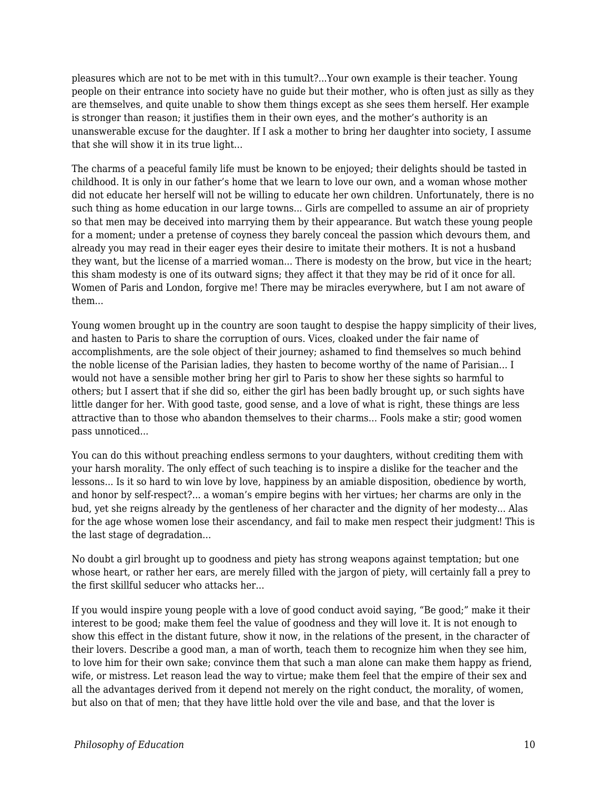pleasures which are not to be met with in this tumult?...Your own example is their teacher. Young people on their entrance into society have no guide but their mother, who is often just as silly as they are themselves, and quite unable to show them things except as she sees them herself. Her example is stronger than reason; it justifies them in their own eyes, and the mother's authority is an unanswerable excuse for the daughter. If I ask a mother to bring her daughter into society, I assume that she will show it in its true light...

The charms of a peaceful family life must be known to be enjoyed; their delights should be tasted in childhood. It is only in our father's home that we learn to love our own, and a woman whose mother did not educate her herself will not be willing to educate her own children. Unfortunately, there is no such thing as home education in our large towns... Girls are compelled to assume an air of propriety so that men may be deceived into marrying them by their appearance. But watch these young people for a moment; under a pretense of coyness they barely conceal the passion which devours them, and already you may read in their eager eyes their desire to imitate their mothers. It is not a husband they want, but the license of a married woman... There is modesty on the brow, but vice in the heart; this sham modesty is one of its outward signs; they affect it that they may be rid of it once for all. Women of Paris and London, forgive me! There may be miracles everywhere, but I am not aware of them...

Young women brought up in the country are soon taught to despise the happy simplicity of their lives, and hasten to Paris to share the corruption of ours. Vices, cloaked under the fair name of accomplishments, are the sole object of their journey; ashamed to find themselves so much behind the noble license of the Parisian ladies, they hasten to become worthy of the name of Parisian... I would not have a sensible mother bring her girl to Paris to show her these sights so harmful to others; but I assert that if she did so, either the girl has been badly brought up, or such sights have little danger for her. With good taste, good sense, and a love of what is right, these things are less attractive than to those who abandon themselves to their charms... Fools make a stir; good women pass unnoticed...

You can do this without preaching endless sermons to your daughters, without crediting them with your harsh morality. The only effect of such teaching is to inspire a dislike for the teacher and the lessons... Is it so hard to win love by love, happiness by an amiable disposition, obedience by worth, and honor by self-respect?... a woman's empire begins with her virtues; her charms are only in the bud, yet she reigns already by the gentleness of her character and the dignity of her modesty... Alas for the age whose women lose their ascendancy, and fail to make men respect their judgment! This is the last stage of degradation...

No doubt a girl brought up to goodness and piety has strong weapons against temptation; but one whose heart, or rather her ears, are merely filled with the jargon of piety, will certainly fall a prey to the first skillful seducer who attacks her...

If you would inspire young people with a love of good conduct avoid saying, "Be good;" make it their interest to be good; make them feel the value of goodness and they will love it. It is not enough to show this effect in the distant future, show it now, in the relations of the present, in the character of their lovers. Describe a good man, a man of worth, teach them to recognize him when they see him, to love him for their own sake; convince them that such a man alone can make them happy as friend, wife, or mistress. Let reason lead the way to virtue; make them feel that the empire of their sex and all the advantages derived from it depend not merely on the right conduct, the morality, of women, but also on that of men; that they have little hold over the vile and base, and that the lover is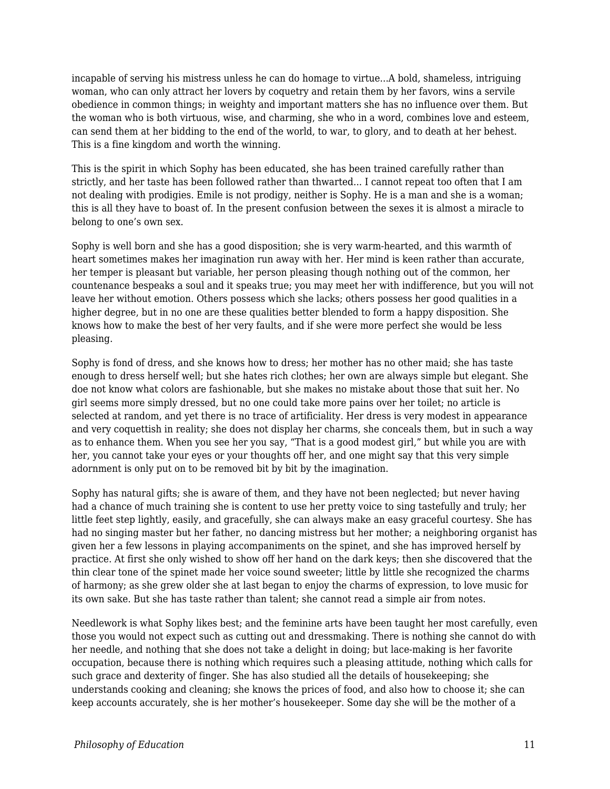incapable of serving his mistress unless he can do homage to virtue...A bold, shameless, intriguing woman, who can only attract her lovers by coquetry and retain them by her favors, wins a servile obedience in common things; in weighty and important matters she has no influence over them. But the woman who is both virtuous, wise, and charming, she who in a word, combines love and esteem, can send them at her bidding to the end of the world, to war, to glory, and to death at her behest. This is a fine kingdom and worth the winning.

This is the spirit in which Sophy has been educated, she has been trained carefully rather than strictly, and her taste has been followed rather than thwarted... I cannot repeat too often that I am not dealing with prodigies. Emile is not prodigy, neither is Sophy. He is a man and she is a woman; this is all they have to boast of. In the present confusion between the sexes it is almost a miracle to belong to one's own sex.

Sophy is well born and she has a good disposition; she is very warm-hearted, and this warmth of heart sometimes makes her imagination run away with her. Her mind is keen rather than accurate, her temper is pleasant but variable, her person pleasing though nothing out of the common, her countenance bespeaks a soul and it speaks true; you may meet her with indifference, but you will not leave her without emotion. Others possess which she lacks; others possess her good qualities in a higher degree, but in no one are these qualities better blended to form a happy disposition. She knows how to make the best of her very faults, and if she were more perfect she would be less pleasing.

Sophy is fond of dress, and she knows how to dress; her mother has no other maid; she has taste enough to dress herself well; but she hates rich clothes; her own are always simple but elegant. She doe not know what colors are fashionable, but she makes no mistake about those that suit her. No girl seems more simply dressed, but no one could take more pains over her toilet; no article is selected at random, and yet there is no trace of artificiality. Her dress is very modest in appearance and very coquettish in reality; she does not display her charms, she conceals them, but in such a way as to enhance them. When you see her you say, "That is a good modest girl," but while you are with her, you cannot take your eyes or your thoughts off her, and one might say that this very simple adornment is only put on to be removed bit by bit by the imagination.

Sophy has natural gifts; she is aware of them, and they have not been neglected; but never having had a chance of much training she is content to use her pretty voice to sing tastefully and truly; her little feet step lightly, easily, and gracefully, she can always make an easy graceful courtesy. She has had no singing master but her father, no dancing mistress but her mother; a neighboring organist has given her a few lessons in playing accompaniments on the spinet, and she has improved herself by practice. At first she only wished to show off her hand on the dark keys; then she discovered that the thin clear tone of the spinet made her voice sound sweeter; little by little she recognized the charms of harmony; as she grew older she at last began to enjoy the charms of expression, to love music for its own sake. But she has taste rather than talent; she cannot read a simple air from notes.

Needlework is what Sophy likes best; and the feminine arts have been taught her most carefully, even those you would not expect such as cutting out and dressmaking. There is nothing she cannot do with her needle, and nothing that she does not take a delight in doing; but lace-making is her favorite occupation, because there is nothing which requires such a pleasing attitude, nothing which calls for such grace and dexterity of finger. She has also studied all the details of housekeeping; she understands cooking and cleaning; she knows the prices of food, and also how to choose it; she can keep accounts accurately, she is her mother's housekeeper. Some day she will be the mother of a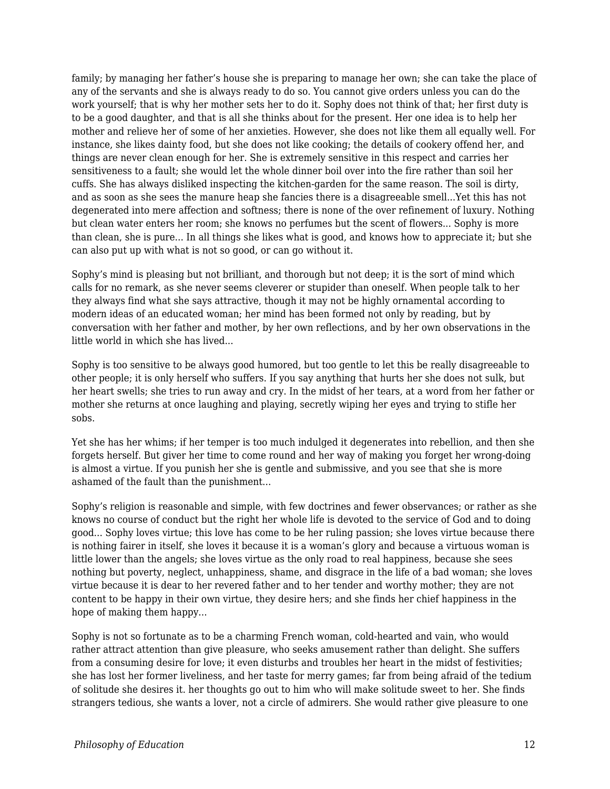family; by managing her father's house she is preparing to manage her own; she can take the place of any of the servants and she is always ready to do so. You cannot give orders unless you can do the work yourself; that is why her mother sets her to do it. Sophy does not think of that; her first duty is to be a good daughter, and that is all she thinks about for the present. Her one idea is to help her mother and relieve her of some of her anxieties. However, she does not like them all equally well. For instance, she likes dainty food, but she does not like cooking; the details of cookery offend her, and things are never clean enough for her. She is extremely sensitive in this respect and carries her sensitiveness to a fault; she would let the whole dinner boil over into the fire rather than soil her cuffs. She has always disliked inspecting the kitchen-garden for the same reason. The soil is dirty, and as soon as she sees the manure heap she fancies there is a disagreeable smell...Yet this has not degenerated into mere affection and softness; there is none of the over refinement of luxury. Nothing but clean water enters her room; she knows no perfumes but the scent of flowers... Sophy is more than clean, she is pure... In all things she likes what is good, and knows how to appreciate it; but she can also put up with what is not so good, or can go without it.

Sophy's mind is pleasing but not brilliant, and thorough but not deep; it is the sort of mind which calls for no remark, as she never seems cleverer or stupider than oneself. When people talk to her they always find what she says attractive, though it may not be highly ornamental according to modern ideas of an educated woman; her mind has been formed not only by reading, but by conversation with her father and mother, by her own reflections, and by her own observations in the little world in which she has lived...

Sophy is too sensitive to be always good humored, but too gentle to let this be really disagreeable to other people; it is only herself who suffers. If you say anything that hurts her she does not sulk, but her heart swells; she tries to run away and cry. In the midst of her tears, at a word from her father or mother she returns at once laughing and playing, secretly wiping her eyes and trying to stifle her sobs.

Yet she has her whims; if her temper is too much indulged it degenerates into rebellion, and then she forgets herself. But giver her time to come round and her way of making you forget her wrong-doing is almost a virtue. If you punish her she is gentle and submissive, and you see that she is more ashamed of the fault than the punishment...

Sophy's religion is reasonable and simple, with few doctrines and fewer observances; or rather as she knows no course of conduct but the right her whole life is devoted to the service of God and to doing good... Sophy loves virtue; this love has come to be her ruling passion; she loves virtue because there is nothing fairer in itself, she loves it because it is a woman's glory and because a virtuous woman is little lower than the angels; she loves virtue as the only road to real happiness, because she sees nothing but poverty, neglect, unhappiness, shame, and disgrace in the life of a bad woman; she loves virtue because it is dear to her revered father and to her tender and worthy mother; they are not content to be happy in their own virtue, they desire hers; and she finds her chief happiness in the hope of making them happy...

Sophy is not so fortunate as to be a charming French woman, cold-hearted and vain, who would rather attract attention than give pleasure, who seeks amusement rather than delight. She suffers from a consuming desire for love; it even disturbs and troubles her heart in the midst of festivities; she has lost her former liveliness, and her taste for merry games; far from being afraid of the tedium of solitude she desires it. her thoughts go out to him who will make solitude sweet to her. She finds strangers tedious, she wants a lover, not a circle of admirers. She would rather give pleasure to one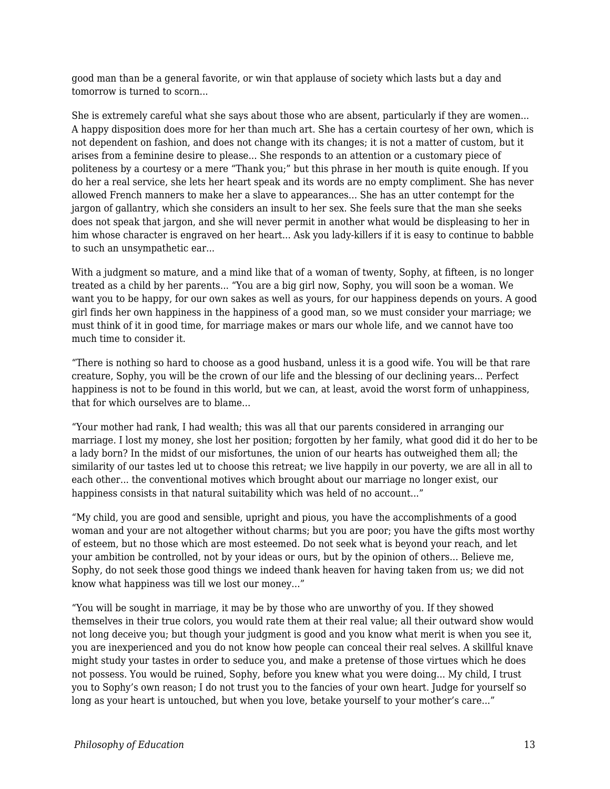good man than be a general favorite, or win that applause of society which lasts but a day and tomorrow is turned to scorn...

She is extremely careful what she says about those who are absent, particularly if they are women... A happy disposition does more for her than much art. She has a certain courtesy of her own, which is not dependent on fashion, and does not change with its changes; it is not a matter of custom, but it arises from a feminine desire to please... She responds to an attention or a customary piece of politeness by a courtesy or a mere "Thank you;" but this phrase in her mouth is quite enough. If you do her a real service, she lets her heart speak and its words are no empty compliment. She has never allowed French manners to make her a slave to appearances... She has an utter contempt for the jargon of gallantry, which she considers an insult to her sex. She feels sure that the man she seeks does not speak that jargon, and she will never permit in another what would be displeasing to her in him whose character is engraved on her heart... Ask you lady-killers if it is easy to continue to babble to such an unsympathetic ear...

With a judgment so mature, and a mind like that of a woman of twenty, Sophy, at fifteen, is no longer treated as a child by her parents... "You are a big girl now, Sophy, you will soon be a woman. We want you to be happy, for our own sakes as well as yours, for our happiness depends on yours. A good girl finds her own happiness in the happiness of a good man, so we must consider your marriage; we must think of it in good time, for marriage makes or mars our whole life, and we cannot have too much time to consider it.

"There is nothing so hard to choose as a good husband, unless it is a good wife. You will be that rare creature, Sophy, you will be the crown of our life and the blessing of our declining years... Perfect happiness is not to be found in this world, but we can, at least, avoid the worst form of unhappiness, that for which ourselves are to blame...

"Your mother had rank, I had wealth; this was all that our parents considered in arranging our marriage. I lost my money, she lost her position; forgotten by her family, what good did it do her to be a lady born? In the midst of our misfortunes, the union of our hearts has outweighed them all; the similarity of our tastes led ut to choose this retreat; we live happily in our poverty, we are all in all to each other... the conventional motives which brought about our marriage no longer exist, our happiness consists in that natural suitability which was held of no account..."

"My child, you are good and sensible, upright and pious, you have the accomplishments of a good woman and your are not altogether without charms; but you are poor; you have the gifts most worthy of esteem, but no those which are most esteemed. Do not seek what is beyond your reach, and let your ambition be controlled, not by your ideas or ours, but by the opinion of others... Believe me, Sophy, do not seek those good things we indeed thank heaven for having taken from us; we did not know what happiness was till we lost our money..."

"You will be sought in marriage, it may be by those who are unworthy of you. If they showed themselves in their true colors, you would rate them at their real value; all their outward show would not long deceive you; but though your judgment is good and you know what merit is when you see it, you are inexperienced and you do not know how people can conceal their real selves. A skillful knave might study your tastes in order to seduce you, and make a pretense of those virtues which he does not possess. You would be ruined, Sophy, before you knew what you were doing... My child, I trust you to Sophy's own reason; I do not trust you to the fancies of your own heart. Judge for yourself so long as your heart is untouched, but when you love, betake yourself to your mother's care..."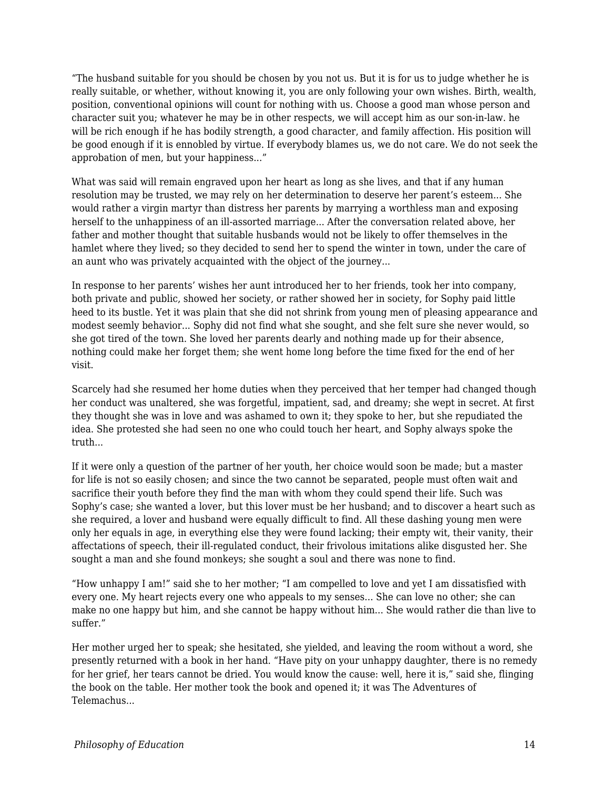"The husband suitable for you should be chosen by you not us. But it is for us to judge whether he is really suitable, or whether, without knowing it, you are only following your own wishes. Birth, wealth, position, conventional opinions will count for nothing with us. Choose a good man whose person and character suit you; whatever he may be in other respects, we will accept him as our son-in-law. he will be rich enough if he has bodily strength, a good character, and family affection. His position will be good enough if it is ennobled by virtue. If everybody blames us, we do not care. We do not seek the approbation of men, but your happiness..."

What was said will remain engraved upon her heart as long as she lives, and that if any human resolution may be trusted, we may rely on her determination to deserve her parent's esteem... She would rather a virgin martyr than distress her parents by marrying a worthless man and exposing herself to the unhappiness of an ill-assorted marriage... After the conversation related above, her father and mother thought that suitable husbands would not be likely to offer themselves in the hamlet where they lived; so they decided to send her to spend the winter in town, under the care of an aunt who was privately acquainted with the object of the journey...

In response to her parents' wishes her aunt introduced her to her friends, took her into company, both private and public, showed her society, or rather showed her in society, for Sophy paid little heed to its bustle. Yet it was plain that she did not shrink from young men of pleasing appearance and modest seemly behavior... Sophy did not find what she sought, and she felt sure she never would, so she got tired of the town. She loved her parents dearly and nothing made up for their absence, nothing could make her forget them; she went home long before the time fixed for the end of her visit.

Scarcely had she resumed her home duties when they perceived that her temper had changed though her conduct was unaltered, she was forgetful, impatient, sad, and dreamy; she wept in secret. At first they thought she was in love and was ashamed to own it; they spoke to her, but she repudiated the idea. She protested she had seen no one who could touch her heart, and Sophy always spoke the truth...

If it were only a question of the partner of her youth, her choice would soon be made; but a master for life is not so easily chosen; and since the two cannot be separated, people must often wait and sacrifice their youth before they find the man with whom they could spend their life. Such was Sophy's case; she wanted a lover, but this lover must be her husband; and to discover a heart such as she required, a lover and husband were equally difficult to find. All these dashing young men were only her equals in age, in everything else they were found lacking; their empty wit, their vanity, their affectations of speech, their ill-regulated conduct, their frivolous imitations alike disgusted her. She sought a man and she found monkeys; she sought a soul and there was none to find.

"How unhappy I am!" said she to her mother; "I am compelled to love and yet I am dissatisfied with every one. My heart rejects every one who appeals to my senses... She can love no other; she can make no one happy but him, and she cannot be happy without him... She would rather die than live to suffer."

Her mother urged her to speak; she hesitated, she yielded, and leaving the room without a word, she presently returned with a book in her hand. "Have pity on your unhappy daughter, there is no remedy for her grief, her tears cannot be dried. You would know the cause: well, here it is," said she, flinging the book on the table. Her mother took the book and opened it; it was The Adventures of Telemachus...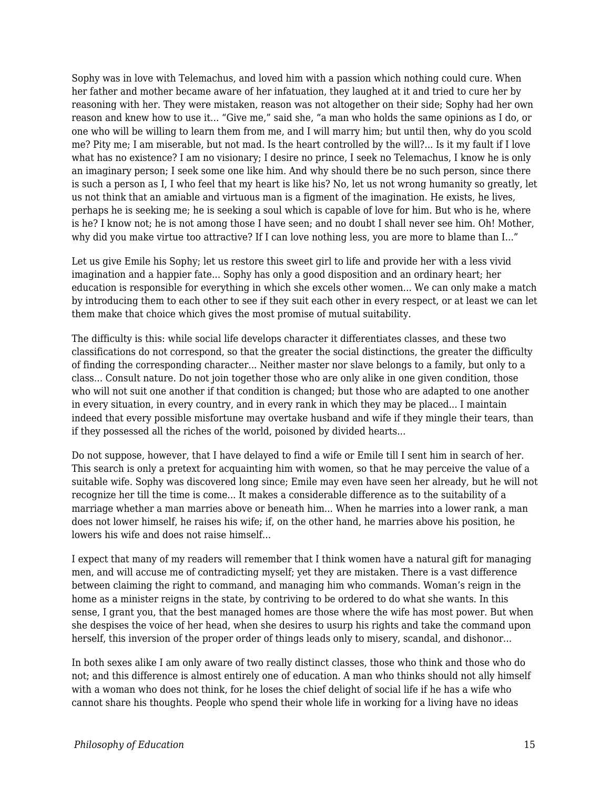Sophy was in love with Telemachus, and loved him with a passion which nothing could cure. When her father and mother became aware of her infatuation, they laughed at it and tried to cure her by reasoning with her. They were mistaken, reason was not altogether on their side; Sophy had her own reason and knew how to use it... "Give me," said she, "a man who holds the same opinions as I do, or one who will be willing to learn them from me, and I will marry him; but until then, why do you scold me? Pity me; I am miserable, but not mad. Is the heart controlled by the will?... Is it my fault if I love what has no existence? I am no visionary; I desire no prince, I seek no Telemachus, I know he is only an imaginary person; I seek some one like him. And why should there be no such person, since there is such a person as I, I who feel that my heart is like his? No, let us not wrong humanity so greatly, let us not think that an amiable and virtuous man is a figment of the imagination. He exists, he lives, perhaps he is seeking me; he is seeking a soul which is capable of love for him. But who is he, where is he? I know not; he is not among those I have seen; and no doubt I shall never see him. Oh! Mother, why did you make virtue too attractive? If I can love nothing less, you are more to blame than I..."

Let us give Emile his Sophy; let us restore this sweet girl to life and provide her with a less vivid imagination and a happier fate... Sophy has only a good disposition and an ordinary heart; her education is responsible for everything in which she excels other women... We can only make a match by introducing them to each other to see if they suit each other in every respect, or at least we can let them make that choice which gives the most promise of mutual suitability.

The difficulty is this: while social life develops character it differentiates classes, and these two classifications do not correspond, so that the greater the social distinctions, the greater the difficulty of finding the corresponding character... Neither master nor slave belongs to a family, but only to a class... Consult nature. Do not join together those who are only alike in one given condition, those who will not suit one another if that condition is changed; but those who are adapted to one another in every situation, in every country, and in every rank in which they may be placed... I maintain indeed that every possible misfortune may overtake husband and wife if they mingle their tears, than if they possessed all the riches of the world, poisoned by divided hearts...

Do not suppose, however, that I have delayed to find a wife or Emile till I sent him in search of her. This search is only a pretext for acquainting him with women, so that he may perceive the value of a suitable wife. Sophy was discovered long since; Emile may even have seen her already, but he will not recognize her till the time is come... It makes a considerable difference as to the suitability of a marriage whether a man marries above or beneath him... When he marries into a lower rank, a man does not lower himself, he raises his wife; if, on the other hand, he marries above his position, he lowers his wife and does not raise himself...

I expect that many of my readers will remember that I think women have a natural gift for managing men, and will accuse me of contradicting myself; yet they are mistaken. There is a vast difference between claiming the right to command, and managing him who commands. Woman's reign in the home as a minister reigns in the state, by contriving to be ordered to do what she wants. In this sense, I grant you, that the best managed homes are those where the wife has most power. But when she despises the voice of her head, when she desires to usurp his rights and take the command upon herself, this inversion of the proper order of things leads only to misery, scandal, and dishonor...

In both sexes alike I am only aware of two really distinct classes, those who think and those who do not; and this difference is almost entirely one of education. A man who thinks should not ally himself with a woman who does not think, for he loses the chief delight of social life if he has a wife who cannot share his thoughts. People who spend their whole life in working for a living have no ideas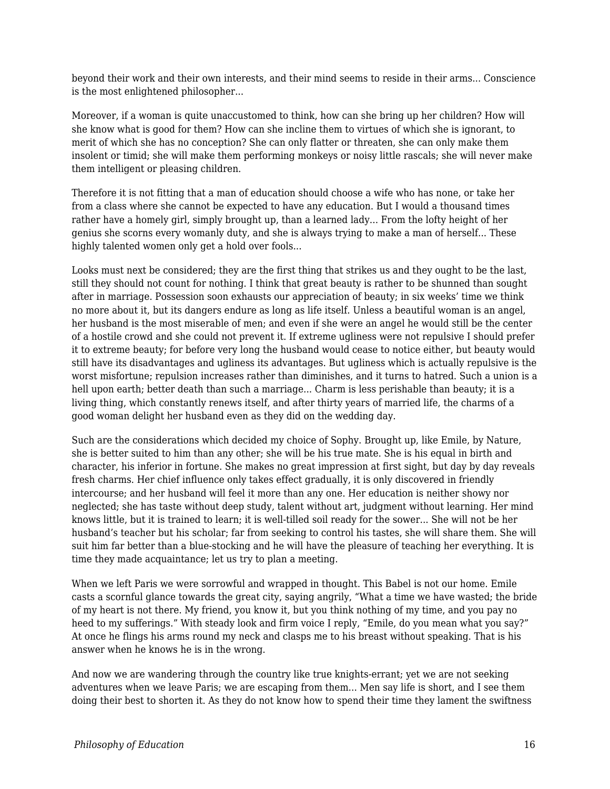beyond their work and their own interests, and their mind seems to reside in their arms... Conscience is the most enlightened philosopher...

Moreover, if a woman is quite unaccustomed to think, how can she bring up her children? How will she know what is good for them? How can she incline them to virtues of which she is ignorant, to merit of which she has no conception? She can only flatter or threaten, she can only make them insolent or timid; she will make them performing monkeys or noisy little rascals; she will never make them intelligent or pleasing children.

Therefore it is not fitting that a man of education should choose a wife who has none, or take her from a class where she cannot be expected to have any education. But I would a thousand times rather have a homely girl, simply brought up, than a learned lady... From the lofty height of her genius she scorns every womanly duty, and she is always trying to make a man of herself... These highly talented women only get a hold over fools...

Looks must next be considered; they are the first thing that strikes us and they ought to be the last, still they should not count for nothing. I think that great beauty is rather to be shunned than sought after in marriage. Possession soon exhausts our appreciation of beauty; in six weeks' time we think no more about it, but its dangers endure as long as life itself. Unless a beautiful woman is an angel, her husband is the most miserable of men; and even if she were an angel he would still be the center of a hostile crowd and she could not prevent it. If extreme ugliness were not repulsive I should prefer it to extreme beauty; for before very long the husband would cease to notice either, but beauty would still have its disadvantages and ugliness its advantages. But ugliness which is actually repulsive is the worst misfortune; repulsion increases rather than diminishes, and it turns to hatred. Such a union is a hell upon earth; better death than such a marriage... Charm is less perishable than beauty; it is a living thing, which constantly renews itself, and after thirty years of married life, the charms of a good woman delight her husband even as they did on the wedding day.

Such are the considerations which decided my choice of Sophy. Brought up, like Emile, by Nature, she is better suited to him than any other; she will be his true mate. She is his equal in birth and character, his inferior in fortune. She makes no great impression at first sight, but day by day reveals fresh charms. Her chief influence only takes effect gradually, it is only discovered in friendly intercourse; and her husband will feel it more than any one. Her education is neither showy nor neglected; she has taste without deep study, talent without art, judgment without learning. Her mind knows little, but it is trained to learn; it is well-tilled soil ready for the sower... She will not be her husband's teacher but his scholar; far from seeking to control his tastes, she will share them. She will suit him far better than a blue-stocking and he will have the pleasure of teaching her everything. It is time they made acquaintance; let us try to plan a meeting.

When we left Paris we were sorrowful and wrapped in thought. This Babel is not our home. Emile casts a scornful glance towards the great city, saying angrily, "What a time we have wasted; the bride of my heart is not there. My friend, you know it, but you think nothing of my time, and you pay no heed to my sufferings." With steady look and firm voice I reply, "Emile, do you mean what you say?" At once he flings his arms round my neck and clasps me to his breast without speaking. That is his answer when he knows he is in the wrong.

And now we are wandering through the country like true knights-errant; yet we are not seeking adventures when we leave Paris; we are escaping from them... Men say life is short, and I see them doing their best to shorten it. As they do not know how to spend their time they lament the swiftness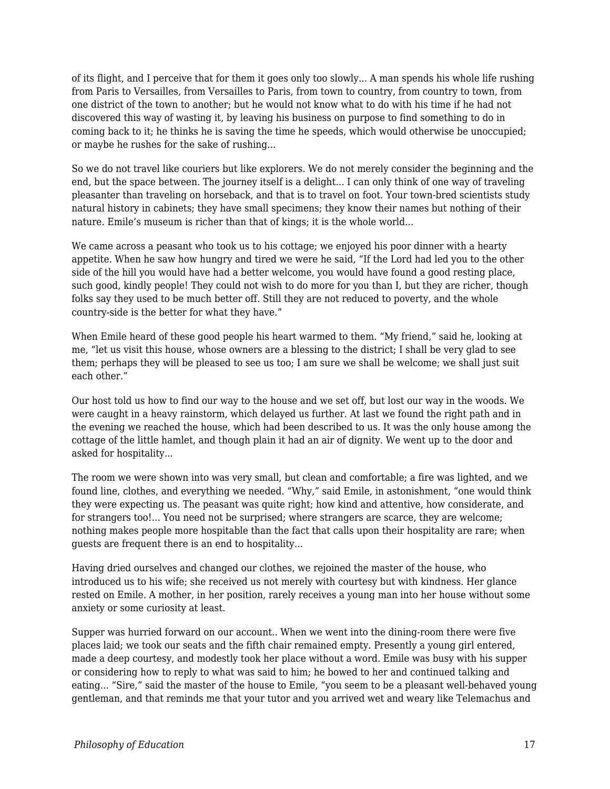of its flight, and I perceive that for them it goes only too slowly... A man spends his whole life rushing from Paris to Versailles, from Versailles to Paris, from town to country, from country to town, from one district of the town to another; but he would not know what to do with his time if he had not discovered this way of wasting it, by leaving his business on purpose to find something to do in coming back to it; he thinks he is saving the time he speeds, which would otherwise be unoccupied; or maybe he rushes for the sake of rushing...

So we do not travel like couriers but like explorers. We do not merely consider the beginning and the end, but the space between. The journey itself is a delight... I can only think of one way of traveling pleasanter than traveling on horseback, and that is to travel on foot. Your town-bred scientists study natural history in cabinets; they have small specimens; they know their names but nothing of their nature. Emile's museum is richer than that of kings; it is the whole world...

We came across a peasant who took us to his cottage; we enjoyed his poor dinner with a hearty appetite. When he saw how hungry and tired we were he said, "If the Lord had led you to the other side of the hill you would have had a better welcome, you would have found a good resting place, such good, kindly people! They could not wish to do more for you than I, but they are richer, though folks say they used to be much better off. Still they are not reduced to poverty, and the whole country-side is the better for what they have."

When Emile heard of these good people his heart warmed to them. "My friend," said he, looking at me, "let us visit this house, whose owners are a blessing to the district; I shall be very glad to see them; perhaps they will be pleased to see us too; I am sure we shall be welcome; we shall just suit each other."

Our host told us how to find our way to the house and we set off, but lost our way in the woods. We were caught in a heavy rainstorm, which delayed us further. At last we found the right path and in the evening we reached the house, which had been described to us. It was the only house among the cottage of the little hamlet, and though plain it had an air of dignity. We went up to the door and asked for hospitality...

The room we were shown into was very small, but clean and comfortable; a fire was lighted, and we found line, clothes, and everything we needed. "Why," said Emile, in astonishment, "one would think they were expecting us. The peasant was quite right; how kind and attentive, how considerate, and for strangers too!... You need not be surprised; where strangers are scarce, they are welcome; nothing makes people more hospitable than the fact that calls upon their hospitality are rare; when guests are frequent there is an end to hospitality...

Having dried ourselves and changed our clothes, we rejoined the master of the house, who introduced us to his wife; she received us not merely with courtesy but with kindness. Her glance rested on Emile. A mother, in her position, rarely receives a young man into her house without some anxiety or some curiosity at least.

Supper was hurried forward on our account.. When we went into the dining-room there were five places laid; we took our seats and the fifth chair remained empty. Presently a young girl entered, made a deep courtesy, and modestly took her place without a word. Emile was busy with his supper or considering how to reply to what was said to him; he bowed to her and continued talking and eating... "Sire," said the master of the house to Emile, "you seem to be a pleasant well-behaved young gentleman, and that reminds me that your tutor and you arrived wet and weary like Telemachus and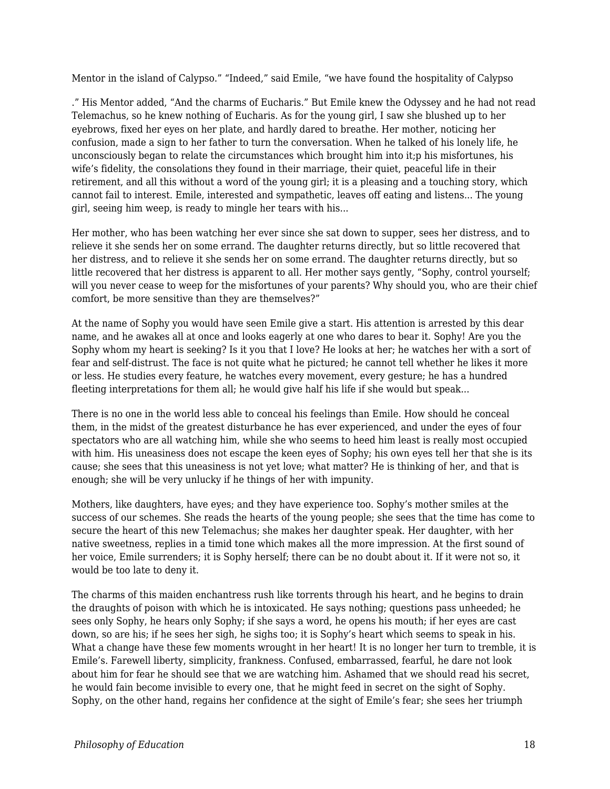Mentor in the island of Calypso." "Indeed," said Emile, "we have found the hospitality of Calypso

." His Mentor added, "And the charms of Eucharis." But Emile knew the Odyssey and he had not read Telemachus, so he knew nothing of Eucharis. As for the young girl, I saw she blushed up to her eyebrows, fixed her eyes on her plate, and hardly dared to breathe. Her mother, noticing her confusion, made a sign to her father to turn the conversation. When he talked of his lonely life, he unconsciously began to relate the circumstances which brought him into it;p his misfortunes, his wife's fidelity, the consolations they found in their marriage, their quiet, peaceful life in their retirement, and all this without a word of the young girl; it is a pleasing and a touching story, which cannot fail to interest. Emile, interested and sympathetic, leaves off eating and listens... The young girl, seeing him weep, is ready to mingle her tears with his...

Her mother, who has been watching her ever since she sat down to supper, sees her distress, and to relieve it she sends her on some errand. The daughter returns directly, but so little recovered that her distress, and to relieve it she sends her on some errand. The daughter returns directly, but so little recovered that her distress is apparent to all. Her mother says gently, "Sophy, control yourself; will you never cease to weep for the misfortunes of your parents? Why should you, who are their chief comfort, be more sensitive than they are themselves?"

At the name of Sophy you would have seen Emile give a start. His attention is arrested by this dear name, and he awakes all at once and looks eagerly at one who dares to bear it. Sophy! Are you the Sophy whom my heart is seeking? Is it you that I love? He looks at her; he watches her with a sort of fear and self-distrust. The face is not quite what he pictured; he cannot tell whether he likes it more or less. He studies every feature, he watches every movement, every gesture; he has a hundred fleeting interpretations for them all; he would give half his life if she would but speak...

There is no one in the world less able to conceal his feelings than Emile. How should he conceal them, in the midst of the greatest disturbance he has ever experienced, and under the eyes of four spectators who are all watching him, while she who seems to heed him least is really most occupied with him. His uneasiness does not escape the keen eyes of Sophy; his own eyes tell her that she is its cause; she sees that this uneasiness is not yet love; what matter? He is thinking of her, and that is enough; she will be very unlucky if he things of her with impunity.

Mothers, like daughters, have eyes; and they have experience too. Sophy's mother smiles at the success of our schemes. She reads the hearts of the young people; she sees that the time has come to secure the heart of this new Telemachus; she makes her daughter speak. Her daughter, with her native sweetness, replies in a timid tone which makes all the more impression. At the first sound of her voice, Emile surrenders; it is Sophy herself; there can be no doubt about it. If it were not so, it would be too late to deny it.

The charms of this maiden enchantress rush like torrents through his heart, and he begins to drain the draughts of poison with which he is intoxicated. He says nothing; questions pass unheeded; he sees only Sophy, he hears only Sophy; if she says a word, he opens his mouth; if her eyes are cast down, so are his; if he sees her sigh, he sighs too; it is Sophy's heart which seems to speak in his. What a change have these few moments wrought in her heart! It is no longer her turn to tremble, it is Emile's. Farewell liberty, simplicity, frankness. Confused, embarrassed, fearful, he dare not look about him for fear he should see that we are watching him. Ashamed that we should read his secret, he would fain become invisible to every one, that he might feed in secret on the sight of Sophy. Sophy, on the other hand, regains her confidence at the sight of Emile's fear; she sees her triumph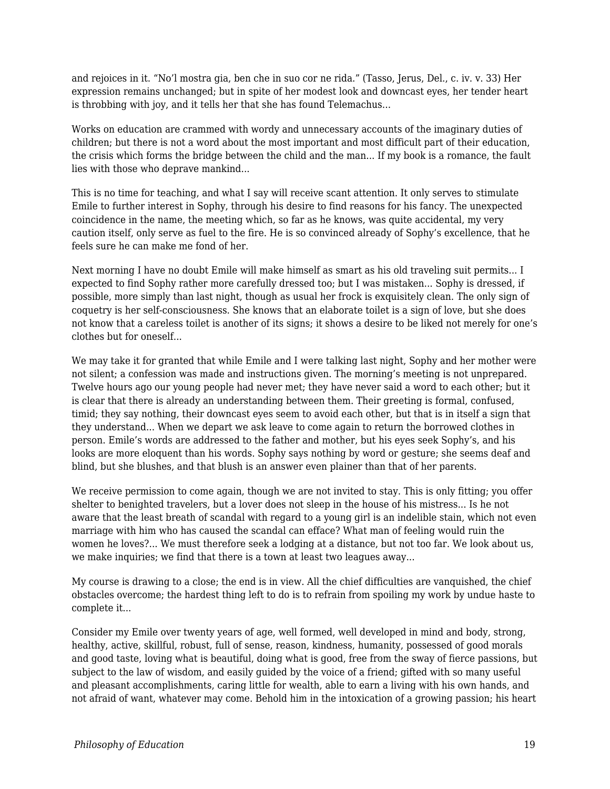and rejoices in it. "No'l mostra gia, ben che in suo cor ne rida." (Tasso, Jerus, Del., c. iv. v. 33) Her expression remains unchanged; but in spite of her modest look and downcast eyes, her tender heart is throbbing with joy, and it tells her that she has found Telemachus...

Works on education are crammed with wordy and unnecessary accounts of the imaginary duties of children; but there is not a word about the most important and most difficult part of their education, the crisis which forms the bridge between the child and the man... If my book is a romance, the fault lies with those who deprave mankind...

This is no time for teaching, and what I say will receive scant attention. It only serves to stimulate Emile to further interest in Sophy, through his desire to find reasons for his fancy. The unexpected coincidence in the name, the meeting which, so far as he knows, was quite accidental, my very caution itself, only serve as fuel to the fire. He is so convinced already of Sophy's excellence, that he feels sure he can make me fond of her.

Next morning I have no doubt Emile will make himself as smart as his old traveling suit permits... I expected to find Sophy rather more carefully dressed too; but I was mistaken... Sophy is dressed, if possible, more simply than last night, though as usual her frock is exquisitely clean. The only sign of coquetry is her self-consciousness. She knows that an elaborate toilet is a sign of love, but she does not know that a careless toilet is another of its signs; it shows a desire to be liked not merely for one's clothes but for oneself...

We may take it for granted that while Emile and I were talking last night, Sophy and her mother were not silent; a confession was made and instructions given. The morning's meeting is not unprepared. Twelve hours ago our young people had never met; they have never said a word to each other; but it is clear that there is already an understanding between them. Their greeting is formal, confused, timid; they say nothing, their downcast eyes seem to avoid each other, but that is in itself a sign that they understand... When we depart we ask leave to come again to return the borrowed clothes in person. Emile's words are addressed to the father and mother, but his eyes seek Sophy's, and his looks are more eloquent than his words. Sophy says nothing by word or gesture; she seems deaf and blind, but she blushes, and that blush is an answer even plainer than that of her parents.

We receive permission to come again, though we are not invited to stay. This is only fitting; you offer shelter to benighted travelers, but a lover does not sleep in the house of his mistress... Is he not aware that the least breath of scandal with regard to a young girl is an indelible stain, which not even marriage with him who has caused the scandal can efface? What man of feeling would ruin the women he loves?... We must therefore seek a lodging at a distance, but not too far. We look about us, we make inquiries; we find that there is a town at least two leagues away...

My course is drawing to a close; the end is in view. All the chief difficulties are vanquished, the chief obstacles overcome; the hardest thing left to do is to refrain from spoiling my work by undue haste to complete it...

Consider my Emile over twenty years of age, well formed, well developed in mind and body, strong, healthy, active, skillful, robust, full of sense, reason, kindness, humanity, possessed of good morals and good taste, loving what is beautiful, doing what is good, free from the sway of fierce passions, but subject to the law of wisdom, and easily guided by the voice of a friend; gifted with so many useful and pleasant accomplishments, caring little for wealth, able to earn a living with his own hands, and not afraid of want, whatever may come. Behold him in the intoxication of a growing passion; his heart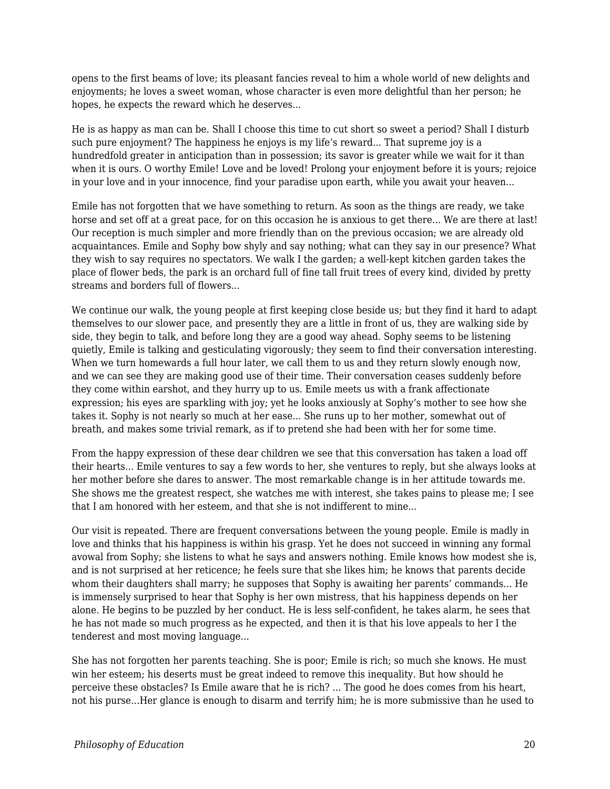opens to the first beams of love; its pleasant fancies reveal to him a whole world of new delights and enjoyments; he loves a sweet woman, whose character is even more delightful than her person; he hopes, he expects the reward which he deserves...

He is as happy as man can be. Shall I choose this time to cut short so sweet a period? Shall I disturb such pure enjoyment? The happiness he enjoys is my life's reward... That supreme joy is a hundredfold greater in anticipation than in possession; its savor is greater while we wait for it than when it is ours. O worthy Emile! Love and be loved! Prolong your enjoyment before it is yours; rejoice in your love and in your innocence, find your paradise upon earth, while you await your heaven...

Emile has not forgotten that we have something to return. As soon as the things are ready, we take horse and set off at a great pace, for on this occasion he is anxious to get there... We are there at last! Our reception is much simpler and more friendly than on the previous occasion; we are already old acquaintances. Emile and Sophy bow shyly and say nothing; what can they say in our presence? What they wish to say requires no spectators. We walk I the garden; a well-kept kitchen garden takes the place of flower beds, the park is an orchard full of fine tall fruit trees of every kind, divided by pretty streams and borders full of flowers...

We continue our walk, the young people at first keeping close beside us; but they find it hard to adapt themselves to our slower pace, and presently they are a little in front of us, they are walking side by side, they begin to talk, and before long they are a good way ahead. Sophy seems to be listening quietly, Emile is talking and gesticulating vigorously; they seem to find their conversation interesting. When we turn homewards a full hour later, we call them to us and they return slowly enough now, and we can see they are making good use of their time. Their conversation ceases suddenly before they come within earshot, and they hurry up to us. Emile meets us with a frank affectionate expression; his eyes are sparkling with joy; yet he looks anxiously at Sophy's mother to see how she takes it. Sophy is not nearly so much at her ease... She runs up to her mother, somewhat out of breath, and makes some trivial remark, as if to pretend she had been with her for some time.

From the happy expression of these dear children we see that this conversation has taken a load off their hearts... Emile ventures to say a few words to her, she ventures to reply, but she always looks at her mother before she dares to answer. The most remarkable change is in her attitude towards me. She shows me the greatest respect, she watches me with interest, she takes pains to please me; I see that I am honored with her esteem, and that she is not indifferent to mine...

Our visit is repeated. There are frequent conversations between the young people. Emile is madly in love and thinks that his happiness is within his grasp. Yet he does not succeed in winning any formal avowal from Sophy; she listens to what he says and answers nothing. Emile knows how modest she is, and is not surprised at her reticence; he feels sure that she likes him; he knows that parents decide whom their daughters shall marry; he supposes that Sophy is awaiting her parents' commands... He is immensely surprised to hear that Sophy is her own mistress, that his happiness depends on her alone. He begins to be puzzled by her conduct. He is less self-confident, he takes alarm, he sees that he has not made so much progress as he expected, and then it is that his love appeals to her I the tenderest and most moving language...

She has not forgotten her parents teaching. She is poor; Emile is rich; so much she knows. He must win her esteem; his deserts must be great indeed to remove this inequality. But how should he perceive these obstacles? Is Emile aware that he is rich? ... The good he does comes from his heart, not his purse...Her glance is enough to disarm and terrify him; he is more submissive than he used to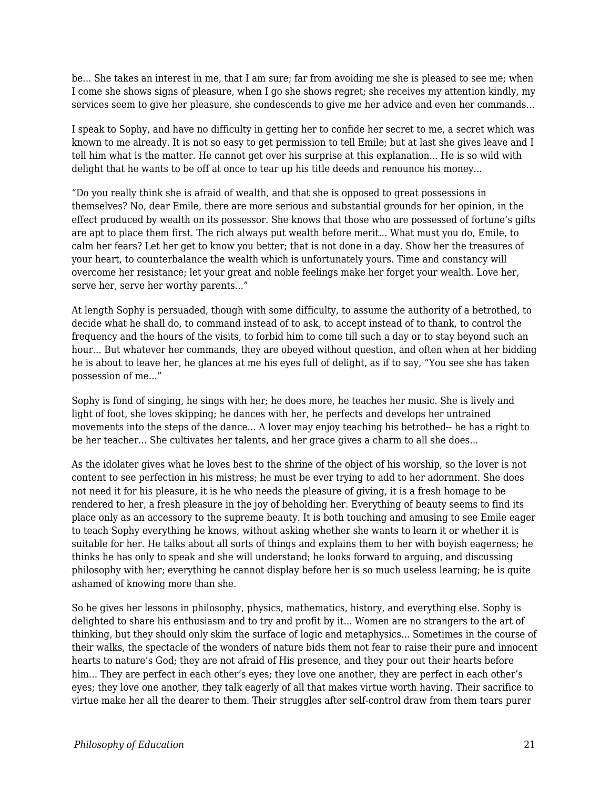be... She takes an interest in me, that I am sure; far from avoiding me she is pleased to see me; when I come she shows signs of pleasure, when I go she shows regret; she receives my attention kindly, my services seem to give her pleasure, she condescends to give me her advice and even her commands...

I speak to Sophy, and have no difficulty in getting her to confide her secret to me, a secret which was known to me already. It is not so easy to get permission to tell Emile; but at last she gives leave and I tell him what is the matter. He cannot get over his surprise at this explanation... He is so wild with delight that he wants to be off at once to tear up his title deeds and renounce his money...

"Do you really think she is afraid of wealth, and that she is opposed to great possessions in themselves? No, dear Emile, there are more serious and substantial grounds for her opinion, in the effect produced by wealth on its possessor. She knows that those who are possessed of fortune's gifts are apt to place them first. The rich always put wealth before merit... What must you do, Emile, to calm her fears? Let her get to know you better; that is not done in a day. Show her the treasures of your heart, to counterbalance the wealth which is unfortunately yours. Time and constancy will overcome her resistance; let your great and noble feelings make her forget your wealth. Love her, serve her, serve her worthy parents..."

At length Sophy is persuaded, though with some difficulty, to assume the authority of a betrothed, to decide what he shall do, to command instead of to ask, to accept instead of to thank, to control the frequency and the hours of the visits, to forbid him to come till such a day or to stay beyond such an hour... But whatever her commands, they are obeyed without question, and often when at her bidding he is about to leave her, he glances at me his eyes full of delight, as if to say, "You see she has taken possession of me..."

Sophy is fond of singing, he sings with her; he does more, he teaches her music. She is lively and light of foot, she loves skipping; he dances with her, he perfects and develops her untrained movements into the steps of the dance... A lover may enjoy teaching his betrothed-- he has a right to be her teacher... She cultivates her talents, and her grace gives a charm to all she does...

As the idolater gives what he loves best to the shrine of the object of his worship, so the lover is not content to see perfection in his mistress; he must be ever trying to add to her adornment. She does not need it for his pleasure, it is he who needs the pleasure of giving, it is a fresh homage to be rendered to her, a fresh pleasure in the joy of beholding her. Everything of beauty seems to find its place only as an accessory to the supreme beauty. It is both touching and amusing to see Emile eager to teach Sophy everything he knows, without asking whether she wants to learn it or whether it is suitable for her. He talks about all sorts of things and explains them to her with boyish eagerness; he thinks he has only to speak and she will understand; he looks forward to arguing, and discussing philosophy with her; everything he cannot display before her is so much useless learning; he is quite ashamed of knowing more than she.

So he gives her lessons in philosophy, physics, mathematics, history, and everything else. Sophy is delighted to share his enthusiasm and to try and profit by it... Women are no strangers to the art of thinking, but they should only skim the surface of logic and metaphysics... Sometimes in the course of their walks, the spectacle of the wonders of nature bids them not fear to raise their pure and innocent hearts to nature's God; they are not afraid of His presence, and they pour out their hearts before him... They are perfect in each other's eyes; they love one another, they are perfect in each other's eyes; they love one another, they talk eagerly of all that makes virtue worth having. Their sacrifice to virtue make her all the dearer to them. Their struggles after self-control draw from them tears purer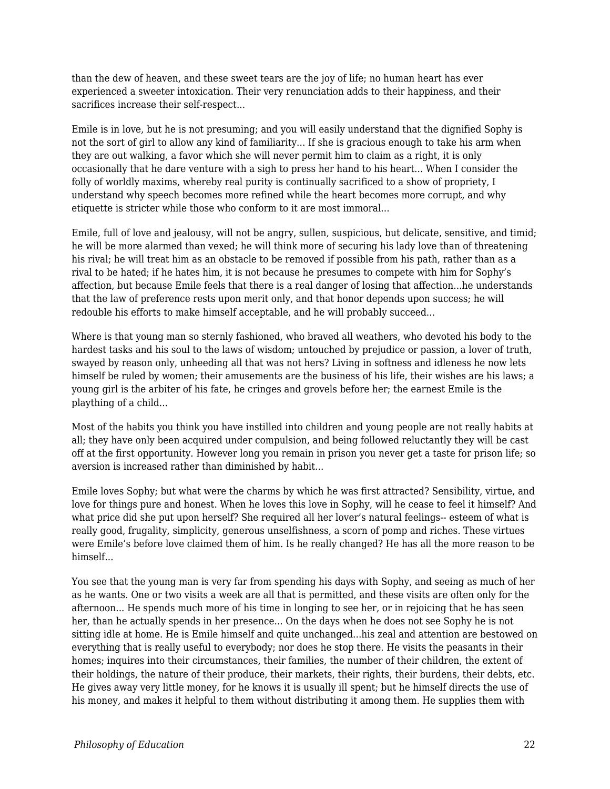than the dew of heaven, and these sweet tears are the joy of life; no human heart has ever experienced a sweeter intoxication. Their very renunciation adds to their happiness, and their sacrifices increase their self-respect...

Emile is in love, but he is not presuming; and you will easily understand that the dignified Sophy is not the sort of girl to allow any kind of familiarity... If she is gracious enough to take his arm when they are out walking, a favor which she will never permit him to claim as a right, it is only occasionally that he dare venture with a sigh to press her hand to his heart... When I consider the folly of worldly maxims, whereby real purity is continually sacrificed to a show of propriety, I understand why speech becomes more refined while the heart becomes more corrupt, and why etiquette is stricter while those who conform to it are most immoral...

Emile, full of love and jealousy, will not be angry, sullen, suspicious, but delicate, sensitive, and timid; he will be more alarmed than vexed; he will think more of securing his lady love than of threatening his rival; he will treat him as an obstacle to be removed if possible from his path, rather than as a rival to be hated; if he hates him, it is not because he presumes to compete with him for Sophy's affection, but because Emile feels that there is a real danger of losing that affection...he understands that the law of preference rests upon merit only, and that honor depends upon success; he will redouble his efforts to make himself acceptable, and he will probably succeed...

Where is that young man so sternly fashioned, who braved all weathers, who devoted his body to the hardest tasks and his soul to the laws of wisdom; untouched by prejudice or passion, a lover of truth, swayed by reason only, unheeding all that was not hers? Living in softness and idleness he now lets himself be ruled by women; their amusements are the business of his life, their wishes are his laws; a young girl is the arbiter of his fate, he cringes and grovels before her; the earnest Emile is the plaything of a child...

Most of the habits you think you have instilled into children and young people are not really habits at all; they have only been acquired under compulsion, and being followed reluctantly they will be cast off at the first opportunity. However long you remain in prison you never get a taste for prison life; so aversion is increased rather than diminished by habit...

Emile loves Sophy; but what were the charms by which he was first attracted? Sensibility, virtue, and love for things pure and honest. When he loves this love in Sophy, will he cease to feel it himself? And what price did she put upon herself? She required all her lover's natural feelings-- esteem of what is really good, frugality, simplicity, generous unselfishness, a scorn of pomp and riches. These virtues were Emile's before love claimed them of him. Is he really changed? He has all the more reason to be himself...

You see that the young man is very far from spending his days with Sophy, and seeing as much of her as he wants. One or two visits a week are all that is permitted, and these visits are often only for the afternoon... He spends much more of his time in longing to see her, or in rejoicing that he has seen her, than he actually spends in her presence... On the days when he does not see Sophy he is not sitting idle at home. He is Emile himself and quite unchanged...his zeal and attention are bestowed on everything that is really useful to everybody; nor does he stop there. He visits the peasants in their homes; inquires into their circumstances, their families, the number of their children, the extent of their holdings, the nature of their produce, their markets, their rights, their burdens, their debts, etc. He gives away very little money, for he knows it is usually ill spent; but he himself directs the use of his money, and makes it helpful to them without distributing it among them. He supplies them with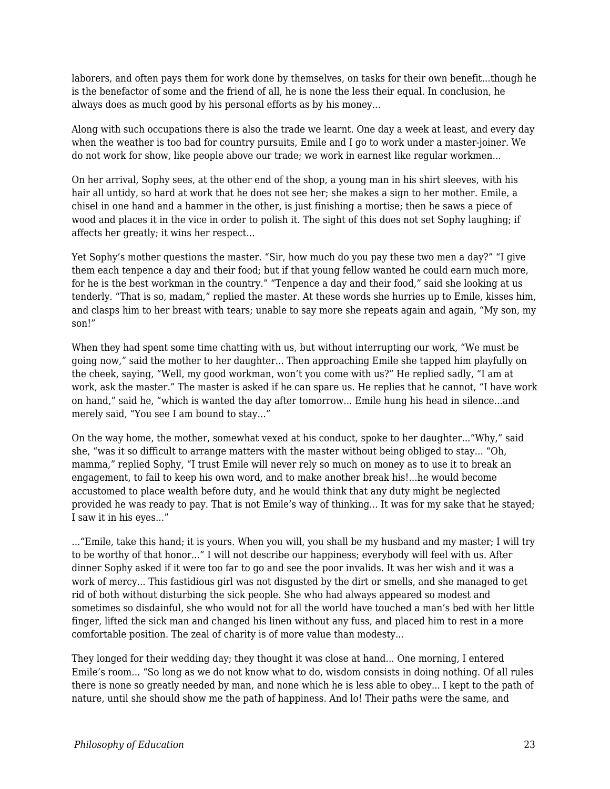laborers, and often pays them for work done by themselves, on tasks for their own benefit...though he is the benefactor of some and the friend of all, he is none the less their equal. In conclusion, he always does as much good by his personal efforts as by his money...

Along with such occupations there is also the trade we learnt. One day a week at least, and every day when the weather is too bad for country pursuits, Emile and I go to work under a master-joiner. We do not work for show, like people above our trade; we work in earnest like regular workmen...

On her arrival, Sophy sees, at the other end of the shop, a young man in his shirt sleeves, with his hair all untidy, so hard at work that he does not see her; she makes a sign to her mother. Emile, a chisel in one hand and a hammer in the other, is just finishing a mortise; then he saws a piece of wood and places it in the vice in order to polish it. The sight of this does not set Sophy laughing; if affects her greatly; it wins her respect...

Yet Sophy's mother questions the master. "Sir, how much do you pay these two men a day?" "I give them each tenpence a day and their food; but if that young fellow wanted he could earn much more, for he is the best workman in the country." "Tenpence a day and their food," said she looking at us tenderly. "That is so, madam," replied the master. At these words she hurries up to Emile, kisses him, and clasps him to her breast with tears; unable to say more she repeats again and again, "My son, my son!"

When they had spent some time chatting with us, but without interrupting our work, "We must be going now," said the mother to her daughter... Then approaching Emile she tapped him playfully on the cheek, saying, "Well, my good workman, won't you come with us?" He replied sadly, "I am at work, ask the master." The master is asked if he can spare us. He replies that he cannot, "I have work on hand," said he, "which is wanted the day after tomorrow... Emile hung his head in silence...and merely said, "You see I am bound to stay..."

On the way home, the mother, somewhat vexed at his conduct, spoke to her daughter..."Why," said she, "was it so difficult to arrange matters with the master without being obliged to stay... "Oh, mamma," replied Sophy, "I trust Emile will never rely so much on money as to use it to break an engagement, to fail to keep his own word, and to make another break his!...he would become accustomed to place wealth before duty, and he would think that any duty might be neglected provided he was ready to pay. That is not Emile's way of thinking... It was for my sake that he stayed; I saw it in his eyes..."

..."Emile, take this hand; it is yours. When you will, you shall be my husband and my master; I will try to be worthy of that honor..." I will not describe our happiness; everybody will feel with us. After dinner Sophy asked if it were too far to go and see the poor invalids. It was her wish and it was a work of mercy... This fastidious girl was not disgusted by the dirt or smells, and she managed to get rid of both without disturbing the sick people. She who had always appeared so modest and sometimes so disdainful, she who would not for all the world have touched a man's bed with her little finger, lifted the sick man and changed his linen without any fuss, and placed him to rest in a more comfortable position. The zeal of charity is of more value than modesty...

They longed for their wedding day; they thought it was close at hand... One morning, I entered Emile's room... "So long as we do not know what to do, wisdom consists in doing nothing. Of all rules there is none so greatly needed by man, and none which he is less able to obey... I kept to the path of nature, until she should show me the path of happiness. And lo! Their paths were the same, and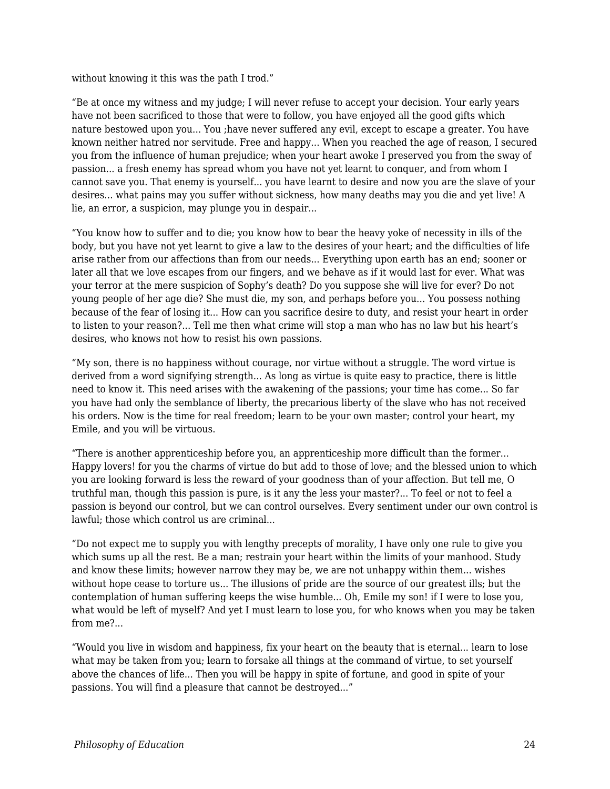without knowing it this was the path I trod."

"Be at once my witness and my judge; I will never refuse to accept your decision. Your early years have not been sacrificed to those that were to follow, you have enjoyed all the good gifts which nature bestowed upon you... You ;have never suffered any evil, except to escape a greater. You have known neither hatred nor servitude. Free and happy... When you reached the age of reason, I secured you from the influence of human prejudice; when your heart awoke I preserved you from the sway of passion... a fresh enemy has spread whom you have not yet learnt to conquer, and from whom I cannot save you. That enemy is yourself... you have learnt to desire and now you are the slave of your desires... what pains may you suffer without sickness, how many deaths may you die and yet live! A lie, an error, a suspicion, may plunge you in despair...

"You know how to suffer and to die; you know how to bear the heavy yoke of necessity in ills of the body, but you have not yet learnt to give a law to the desires of your heart; and the difficulties of life arise rather from our affections than from our needs... Everything upon earth has an end; sooner or later all that we love escapes from our fingers, and we behave as if it would last for ever. What was your terror at the mere suspicion of Sophy's death? Do you suppose she will live for ever? Do not young people of her age die? She must die, my son, and perhaps before you... You possess nothing because of the fear of losing it... How can you sacrifice desire to duty, and resist your heart in order to listen to your reason?... Tell me then what crime will stop a man who has no law but his heart's desires, who knows not how to resist his own passions.

"My son, there is no happiness without courage, nor virtue without a struggle. The word virtue is derived from a word signifying strength... As long as virtue is quite easy to practice, there is little need to know it. This need arises with the awakening of the passions; your time has come... So far you have had only the semblance of liberty, the precarious liberty of the slave who has not received his orders. Now is the time for real freedom; learn to be your own master; control your heart, my Emile, and you will be virtuous.

"There is another apprenticeship before you, an apprenticeship more difficult than the former... Happy lovers! for you the charms of virtue do but add to those of love; and the blessed union to which you are looking forward is less the reward of your goodness than of your affection. But tell me, O truthful man, though this passion is pure, is it any the less your master?... To feel or not to feel a passion is beyond our control, but we can control ourselves. Every sentiment under our own control is lawful; those which control us are criminal...

"Do not expect me to supply you with lengthy precepts of morality, I have only one rule to give you which sums up all the rest. Be a man; restrain your heart within the limits of your manhood. Study and know these limits; however narrow they may be, we are not unhappy within them... wishes without hope cease to torture us... The illusions of pride are the source of our greatest ills; but the contemplation of human suffering keeps the wise humble... Oh, Emile my son! if I were to lose you, what would be left of myself? And yet I must learn to lose you, for who knows when you may be taken from me?...

"Would you live in wisdom and happiness, fix your heart on the beauty that is eternal... learn to lose what may be taken from you; learn to forsake all things at the command of virtue, to set yourself above the chances of life... Then you will be happy in spite of fortune, and good in spite of your passions. You will find a pleasure that cannot be destroyed..."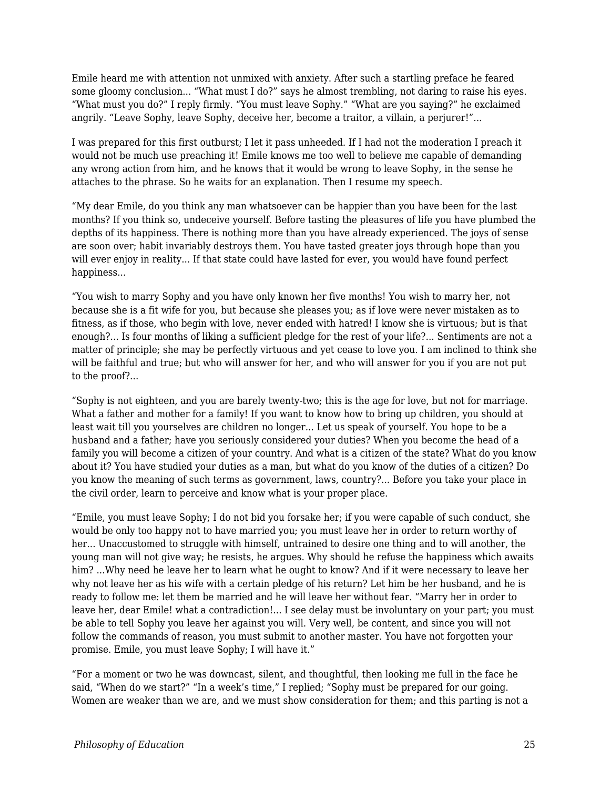Emile heard me with attention not unmixed with anxiety. After such a startling preface he feared some gloomy conclusion... "What must I do?" says he almost trembling, not daring to raise his eyes. "What must you do?" I reply firmly. "You must leave Sophy." "What are you saying?" he exclaimed angrily. "Leave Sophy, leave Sophy, deceive her, become a traitor, a villain, a perjurer!"...

I was prepared for this first outburst; I let it pass unheeded. If I had not the moderation I preach it would not be much use preaching it! Emile knows me too well to believe me capable of demanding any wrong action from him, and he knows that it would be wrong to leave Sophy, in the sense he attaches to the phrase. So he waits for an explanation. Then I resume my speech.

"My dear Emile, do you think any man whatsoever can be happier than you have been for the last months? If you think so, undeceive yourself. Before tasting the pleasures of life you have plumbed the depths of its happiness. There is nothing more than you have already experienced. The joys of sense are soon over; habit invariably destroys them. You have tasted greater joys through hope than you will ever enjoy in reality... If that state could have lasted for ever, you would have found perfect happiness...

"You wish to marry Sophy and you have only known her five months! You wish to marry her, not because she is a fit wife for you, but because she pleases you; as if love were never mistaken as to fitness, as if those, who begin with love, never ended with hatred! I know she is virtuous; but is that enough?... Is four months of liking a sufficient pledge for the rest of your life?... Sentiments are not a matter of principle; she may be perfectly virtuous and yet cease to love you. I am inclined to think she will be faithful and true; but who will answer for her, and who will answer for you if you are not put to the proof?...

"Sophy is not eighteen, and you are barely twenty-two; this is the age for love, but not for marriage. What a father and mother for a family! If you want to know how to bring up children, you should at least wait till you yourselves are children no longer... Let us speak of yourself. You hope to be a husband and a father; have you seriously considered your duties? When you become the head of a family you will become a citizen of your country. And what is a citizen of the state? What do you know about it? You have studied your duties as a man, but what do you know of the duties of a citizen? Do you know the meaning of such terms as government, laws, country?... Before you take your place in the civil order, learn to perceive and know what is your proper place.

"Emile, you must leave Sophy; I do not bid you forsake her; if you were capable of such conduct, she would be only too happy not to have married you; you must leave her in order to return worthy of her... Unaccustomed to struggle with himself, untrained to desire one thing and to will another, the young man will not give way; he resists, he argues. Why should he refuse the happiness which awaits him? ...Why need he leave her to learn what he ought to know? And if it were necessary to leave her why not leave her as his wife with a certain pledge of his return? Let him be her husband, and he is ready to follow me: let them be married and he will leave her without fear. "Marry her in order to leave her, dear Emile! what a contradiction!... I see delay must be involuntary on your part; you must be able to tell Sophy you leave her against you will. Very well, be content, and since you will not follow the commands of reason, you must submit to another master. You have not forgotten your promise. Emile, you must leave Sophy; I will have it."

"For a moment or two he was downcast, silent, and thoughtful, then looking me full in the face he said, "When do we start?" "In a week's time," I replied; "Sophy must be prepared for our going. Women are weaker than we are, and we must show consideration for them; and this parting is not a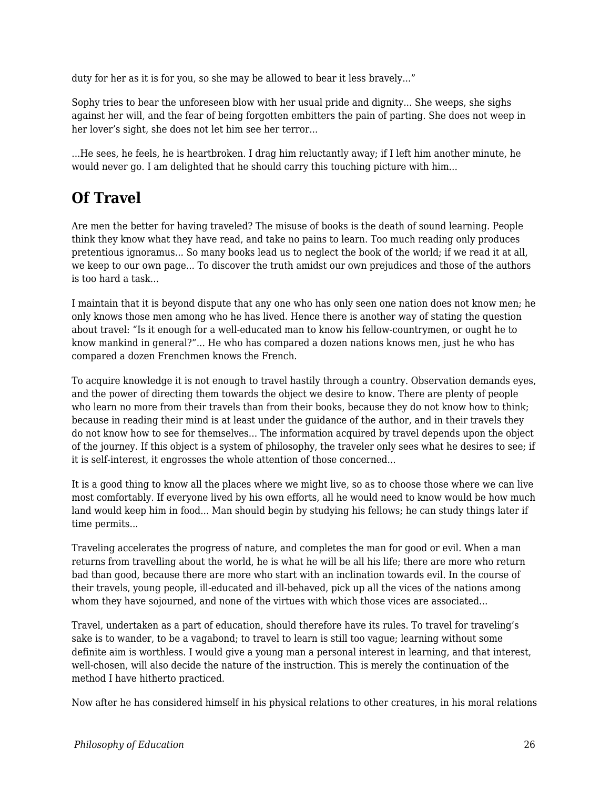duty for her as it is for you, so she may be allowed to bear it less bravely..."

Sophy tries to bear the unforeseen blow with her usual pride and dignity... She weeps, she sighs against her will, and the fear of being forgotten embitters the pain of parting. She does not weep in her lover's sight, she does not let him see her terror...

...He sees, he feels, he is heartbroken. I drag him reluctantly away; if I left him another minute, he would never go. I am delighted that he should carry this touching picture with him...

## **Of Travel**

Are men the better for having traveled? The misuse of books is the death of sound learning. People think they know what they have read, and take no pains to learn. Too much reading only produces pretentious ignoramus... So many books lead us to neglect the book of the world; if we read it at all, we keep to our own page... To discover the truth amidst our own prejudices and those of the authors is too hard a task...

I maintain that it is beyond dispute that any one who has only seen one nation does not know men; he only knows those men among who he has lived. Hence there is another way of stating the question about travel: "Is it enough for a well-educated man to know his fellow-countrymen, or ought he to know mankind in general?"... He who has compared a dozen nations knows men, just he who has compared a dozen Frenchmen knows the French.

To acquire knowledge it is not enough to travel hastily through a country. Observation demands eyes, and the power of directing them towards the object we desire to know. There are plenty of people who learn no more from their travels than from their books, because they do not know how to think; because in reading their mind is at least under the guidance of the author, and in their travels they do not know how to see for themselves... The information acquired by travel depends upon the object of the journey. If this object is a system of philosophy, the traveler only sees what he desires to see; if it is self-interest, it engrosses the whole attention of those concerned...

It is a good thing to know all the places where we might live, so as to choose those where we can live most comfortably. If everyone lived by his own efforts, all he would need to know would be how much land would keep him in food... Man should begin by studying his fellows; he can study things later if time permits...

Traveling accelerates the progress of nature, and completes the man for good or evil. When a man returns from travelling about the world, he is what he will be all his life; there are more who return bad than good, because there are more who start with an inclination towards evil. In the course of their travels, young people, ill-educated and ill-behaved, pick up all the vices of the nations among whom they have sojourned, and none of the virtues with which those vices are associated...

Travel, undertaken as a part of education, should therefore have its rules. To travel for traveling's sake is to wander, to be a vagabond; to travel to learn is still too vague; learning without some definite aim is worthless. I would give a young man a personal interest in learning, and that interest, well-chosen, will also decide the nature of the instruction. This is merely the continuation of the method I have hitherto practiced.

Now after he has considered himself in his physical relations to other creatures, in his moral relations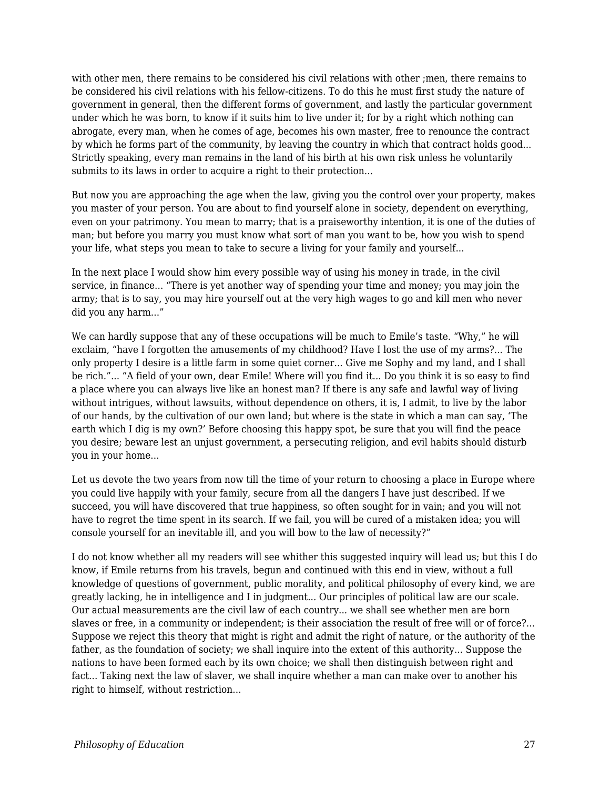with other men, there remains to be considered his civil relations with other ;men, there remains to be considered his civil relations with his fellow-citizens. To do this he must first study the nature of government in general, then the different forms of government, and lastly the particular government under which he was born, to know if it suits him to live under it; for by a right which nothing can abrogate, every man, when he comes of age, becomes his own master, free to renounce the contract by which he forms part of the community, by leaving the country in which that contract holds good... Strictly speaking, every man remains in the land of his birth at his own risk unless he voluntarily submits to its laws in order to acquire a right to their protection...

But now you are approaching the age when the law, giving you the control over your property, makes you master of your person. You are about to find yourself alone in society, dependent on everything, even on your patrimony. You mean to marry; that is a praiseworthy intention, it is one of the duties of man; but before you marry you must know what sort of man you want to be, how you wish to spend your life, what steps you mean to take to secure a living for your family and yourself...

In the next place I would show him every possible way of using his money in trade, in the civil service, in finance... "There is yet another way of spending your time and money; you may join the army; that is to say, you may hire yourself out at the very high wages to go and kill men who never did you any harm..."

We can hardly suppose that any of these occupations will be much to Emile's taste. "Why," he will exclaim, "have I forgotten the amusements of my childhood? Have I lost the use of my arms?... The only property I desire is a little farm in some quiet corner... Give me Sophy and my land, and I shall be rich."... "A field of your own, dear Emile! Where will you find it... Do you think it is so easy to find a place where you can always live like an honest man? If there is any safe and lawful way of living without intrigues, without lawsuits, without dependence on others, it is, I admit, to live by the labor of our hands, by the cultivation of our own land; but where is the state in which a man can say, 'The earth which I dig is my own?' Before choosing this happy spot, be sure that you will find the peace you desire; beware lest an unjust government, a persecuting religion, and evil habits should disturb you in your home...

Let us devote the two years from now till the time of your return to choosing a place in Europe where you could live happily with your family, secure from all the dangers I have just described. If we succeed, you will have discovered that true happiness, so often sought for in vain; and you will not have to regret the time spent in its search. If we fail, you will be cured of a mistaken idea; you will console yourself for an inevitable ill, and you will bow to the law of necessity?"

I do not know whether all my readers will see whither this suggested inquiry will lead us; but this I do know, if Emile returns from his travels, begun and continued with this end in view, without a full knowledge of questions of government, public morality, and political philosophy of every kind, we are greatly lacking, he in intelligence and I in judgment... Our principles of political law are our scale. Our actual measurements are the civil law of each country... we shall see whether men are born slaves or free, in a community or independent; is their association the result of free will or of force?... Suppose we reject this theory that might is right and admit the right of nature, or the authority of the father, as the foundation of society; we shall inquire into the extent of this authority... Suppose the nations to have been formed each by its own choice; we shall then distinguish between right and fact... Taking next the law of slaver, we shall inquire whether a man can make over to another his right to himself, without restriction...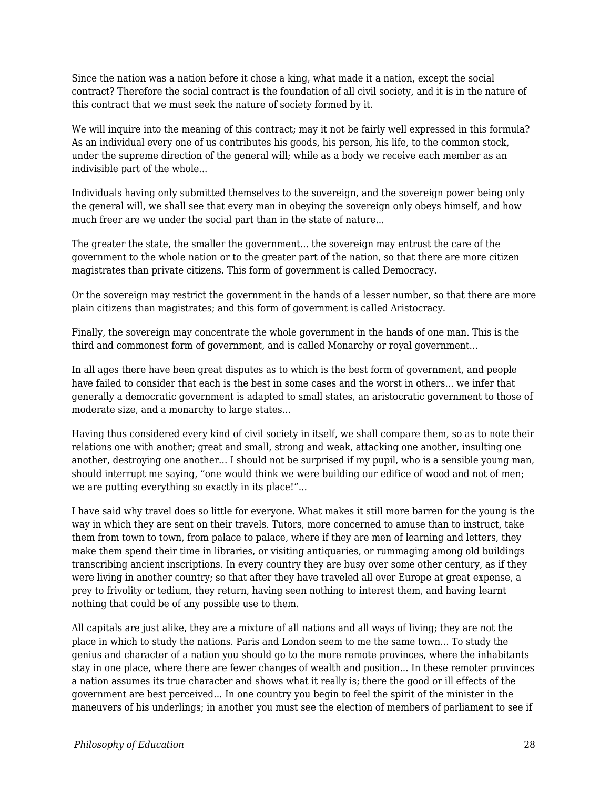Since the nation was a nation before it chose a king, what made it a nation, except the social contract? Therefore the social contract is the foundation of all civil society, and it is in the nature of this contract that we must seek the nature of society formed by it.

We will inquire into the meaning of this contract; may it not be fairly well expressed in this formula? As an individual every one of us contributes his goods, his person, his life, to the common stock, under the supreme direction of the general will; while as a body we receive each member as an indivisible part of the whole...

Individuals having only submitted themselves to the sovereign, and the sovereign power being only the general will, we shall see that every man in obeying the sovereign only obeys himself, and how much freer are we under the social part than in the state of nature...

The greater the state, the smaller the government... the sovereign may entrust the care of the government to the whole nation or to the greater part of the nation, so that there are more citizen magistrates than private citizens. This form of government is called Democracy.

Or the sovereign may restrict the government in the hands of a lesser number, so that there are more plain citizens than magistrates; and this form of government is called Aristocracy.

Finally, the sovereign may concentrate the whole government in the hands of one man. This is the third and commonest form of government, and is called Monarchy or royal government...

In all ages there have been great disputes as to which is the best form of government, and people have failed to consider that each is the best in some cases and the worst in others... we infer that generally a democratic government is adapted to small states, an aristocratic government to those of moderate size, and a monarchy to large states...

Having thus considered every kind of civil society in itself, we shall compare them, so as to note their relations one with another; great and small, strong and weak, attacking one another, insulting one another, destroying one another... I should not be surprised if my pupil, who is a sensible young man, should interrupt me saying, "one would think we were building our edifice of wood and not of men; we are putting everything so exactly in its place!"...

I have said why travel does so little for everyone. What makes it still more barren for the young is the way in which they are sent on their travels. Tutors, more concerned to amuse than to instruct, take them from town to town, from palace to palace, where if they are men of learning and letters, they make them spend their time in libraries, or visiting antiquaries, or rummaging among old buildings transcribing ancient inscriptions. In every country they are busy over some other century, as if they were living in another country; so that after they have traveled all over Europe at great expense, a prey to frivolity or tedium, they return, having seen nothing to interest them, and having learnt nothing that could be of any possible use to them.

All capitals are just alike, they are a mixture of all nations and all ways of living; they are not the place in which to study the nations. Paris and London seem to me the same town... To study the genius and character of a nation you should go to the more remote provinces, where the inhabitants stay in one place, where there are fewer changes of wealth and position... In these remoter provinces a nation assumes its true character and shows what it really is; there the good or ill effects of the government are best perceived... In one country you begin to feel the spirit of the minister in the maneuvers of his underlings; in another you must see the election of members of parliament to see if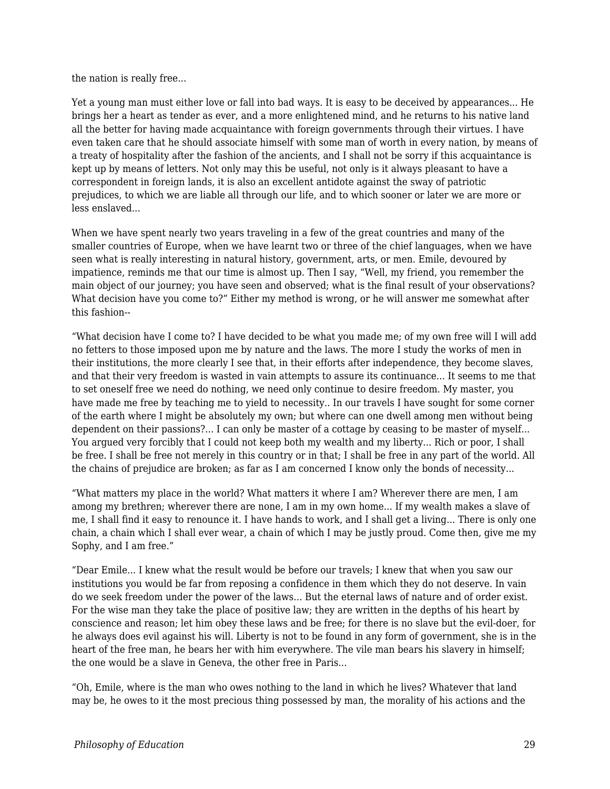the nation is really free...

Yet a young man must either love or fall into bad ways. It is easy to be deceived by appearances... He brings her a heart as tender as ever, and a more enlightened mind, and he returns to his native land all the better for having made acquaintance with foreign governments through their virtues. I have even taken care that he should associate himself with some man of worth in every nation, by means of a treaty of hospitality after the fashion of the ancients, and I shall not be sorry if this acquaintance is kept up by means of letters. Not only may this be useful, not only is it always pleasant to have a correspondent in foreign lands, it is also an excellent antidote against the sway of patriotic prejudices, to which we are liable all through our life, and to which sooner or later we are more or less enslaved...

When we have spent nearly two years traveling in a few of the great countries and many of the smaller countries of Europe, when we have learnt two or three of the chief languages, when we have seen what is really interesting in natural history, government, arts, or men. Emile, devoured by impatience, reminds me that our time is almost up. Then I say, "Well, my friend, you remember the main object of our journey; you have seen and observed; what is the final result of your observations? What decision have you come to?" Either my method is wrong, or he will answer me somewhat after this fashion--

"What decision have I come to? I have decided to be what you made me; of my own free will I will add no fetters to those imposed upon me by nature and the laws. The more I study the works of men in their institutions, the more clearly I see that, in their efforts after independence, they become slaves, and that their very freedom is wasted in vain attempts to assure its continuance... It seems to me that to set oneself free we need do nothing, we need only continue to desire freedom. My master, you have made me free by teaching me to yield to necessity.. In our travels I have sought for some corner of the earth where I might be absolutely my own; but where can one dwell among men without being dependent on their passions?... I can only be master of a cottage by ceasing to be master of myself... You argued very forcibly that I could not keep both my wealth and my liberty... Rich or poor, I shall be free. I shall be free not merely in this country or in that; I shall be free in any part of the world. All the chains of prejudice are broken; as far as I am concerned I know only the bonds of necessity...

"What matters my place in the world? What matters it where I am? Wherever there are men, I am among my brethren; wherever there are none, I am in my own home... If my wealth makes a slave of me, I shall find it easy to renounce it. I have hands to work, and I shall get a living... There is only one chain, a chain which I shall ever wear, a chain of which I may be justly proud. Come then, give me my Sophy, and I am free."

"Dear Emile... I knew what the result would be before our travels; I knew that when you saw our institutions you would be far from reposing a confidence in them which they do not deserve. In vain do we seek freedom under the power of the laws... But the eternal laws of nature and of order exist. For the wise man they take the place of positive law; they are written in the depths of his heart by conscience and reason; let him obey these laws and be free; for there is no slave but the evil-doer, for he always does evil against his will. Liberty is not to be found in any form of government, she is in the heart of the free man, he bears her with him everywhere. The vile man bears his slavery in himself; the one would be a slave in Geneva, the other free in Paris...

"Oh, Emile, where is the man who owes nothing to the land in which he lives? Whatever that land may be, he owes to it the most precious thing possessed by man, the morality of his actions and the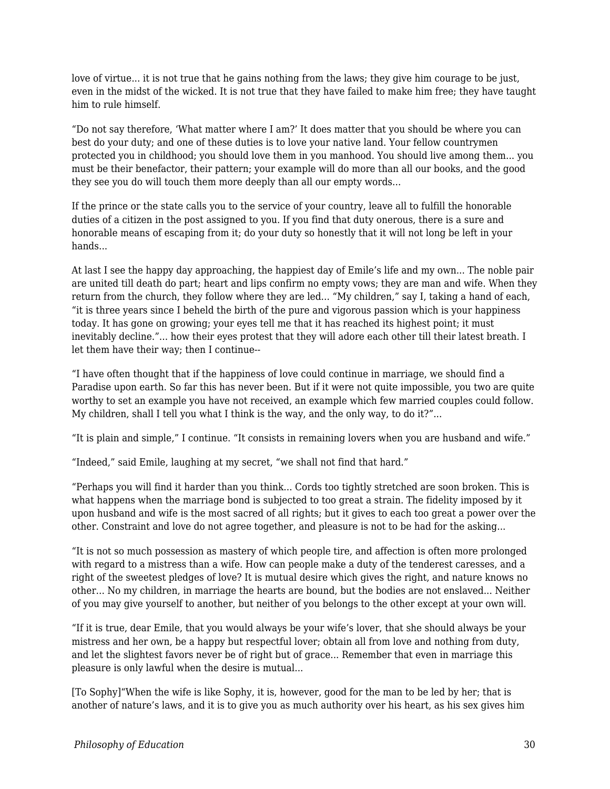love of virtue... it is not true that he gains nothing from the laws; they give him courage to be just, even in the midst of the wicked. It is not true that they have failed to make him free; they have taught him to rule himself.

"Do not say therefore, 'What matter where I am?' It does matter that you should be where you can best do your duty; and one of these duties is to love your native land. Your fellow countrymen protected you in childhood; you should love them in you manhood. You should live among them... you must be their benefactor, their pattern; your example will do more than all our books, and the good they see you do will touch them more deeply than all our empty words...

If the prince or the state calls you to the service of your country, leave all to fulfill the honorable duties of a citizen in the post assigned to you. If you find that duty onerous, there is a sure and honorable means of escaping from it; do your duty so honestly that it will not long be left in your hands...

At last I see the happy day approaching, the happiest day of Emile's life and my own... The noble pair are united till death do part; heart and lips confirm no empty vows; they are man and wife. When they return from the church, they follow where they are led... "My children," say I, taking a hand of each, "it is three years since I beheld the birth of the pure and vigorous passion which is your happiness today. It has gone on growing; your eyes tell me that it has reached its highest point; it must inevitably decline."... how their eyes protest that they will adore each other till their latest breath. I let them have their way; then I continue--

"I have often thought that if the happiness of love could continue in marriage, we should find a Paradise upon earth. So far this has never been. But if it were not quite impossible, you two are quite worthy to set an example you have not received, an example which few married couples could follow. My children, shall I tell you what I think is the way, and the only way, to do it?"...

"It is plain and simple," I continue. "It consists in remaining lovers when you are husband and wife."

"Indeed," said Emile, laughing at my secret, "we shall not find that hard."

"Perhaps you will find it harder than you think... Cords too tightly stretched are soon broken. This is what happens when the marriage bond is subjected to too great a strain. The fidelity imposed by it upon husband and wife is the most sacred of all rights; but it gives to each too great a power over the other. Constraint and love do not agree together, and pleasure is not to be had for the asking...

"It is not so much possession as mastery of which people tire, and affection is often more prolonged with regard to a mistress than a wife. How can people make a duty of the tenderest caresses, and a right of the sweetest pledges of love? It is mutual desire which gives the right, and nature knows no other... No my children, in marriage the hearts are bound, but the bodies are not enslaved... Neither of you may give yourself to another, but neither of you belongs to the other except at your own will.

"If it is true, dear Emile, that you would always be your wife's lover, that she should always be your mistress and her own, be a happy but respectful lover; obtain all from love and nothing from duty, and let the slightest favors never be of right but of grace... Remember that even in marriage this pleasure is only lawful when the desire is mutual...

[To Sophy]"When the wife is like Sophy, it is, however, good for the man to be led by her; that is another of nature's laws, and it is to give you as much authority over his heart, as his sex gives him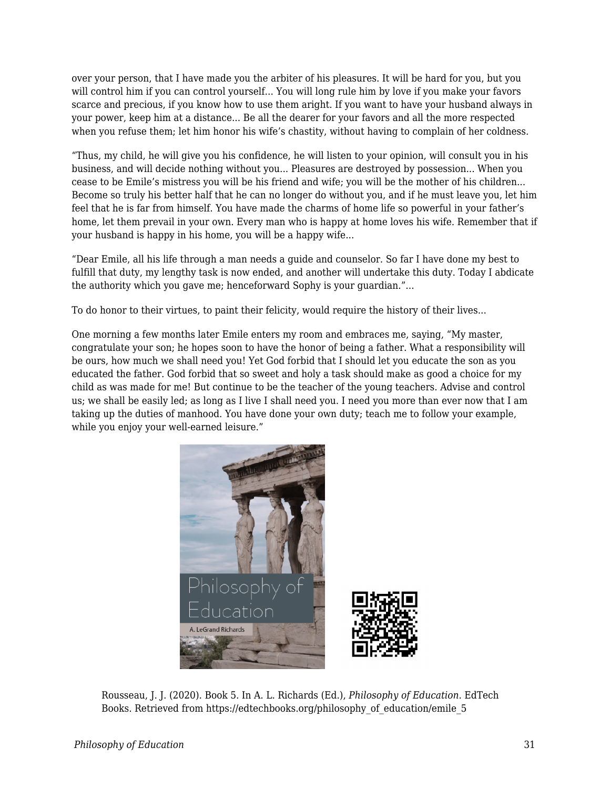over your person, that I have made you the arbiter of his pleasures. It will be hard for you, but you will control him if you can control yourself... You will long rule him by love if you make your favors scarce and precious, if you know how to use them aright. If you want to have your husband always in your power, keep him at a distance... Be all the dearer for your favors and all the more respected when you refuse them; let him honor his wife's chastity, without having to complain of her coldness.

"Thus, my child, he will give you his confidence, he will listen to your opinion, will consult you in his business, and will decide nothing without you... Pleasures are destroyed by possession... When you cease to be Emile's mistress you will be his friend and wife; you will be the mother of his children... Become so truly his better half that he can no longer do without you, and if he must leave you, let him feel that he is far from himself. You have made the charms of home life so powerful in your father's home, let them prevail in your own. Every man who is happy at home loves his wife. Remember that if your husband is happy in his home, you will be a happy wife...

"Dear Emile, all his life through a man needs a guide and counselor. So far I have done my best to fulfill that duty, my lengthy task is now ended, and another will undertake this duty. Today I abdicate the authority which you gave me; henceforward Sophy is your guardian."...

To do honor to their virtues, to paint their felicity, would require the history of their lives...

One morning a few months later Emile enters my room and embraces me, saying, "My master, congratulate your son; he hopes soon to have the honor of being a father. What a responsibility will be ours, how much we shall need you! Yet God forbid that I should let you educate the son as you educated the father. God forbid that so sweet and holy a task should make as good a choice for my child as was made for me! But continue to be the teacher of the young teachers. Advise and control us; we shall be easily led; as long as I live I shall need you. I need you more than ever now that I am taking up the duties of manhood. You have done your own duty; teach me to follow your example, while you enjoy your well-earned leisure."



Rousseau, J. J. (2020). Book 5. In A. L. Richards (Ed.), *Philosophy of Education*. EdTech Books. Retrieved from https://edtechbooks.org/philosophy\_of\_education/emile\_5